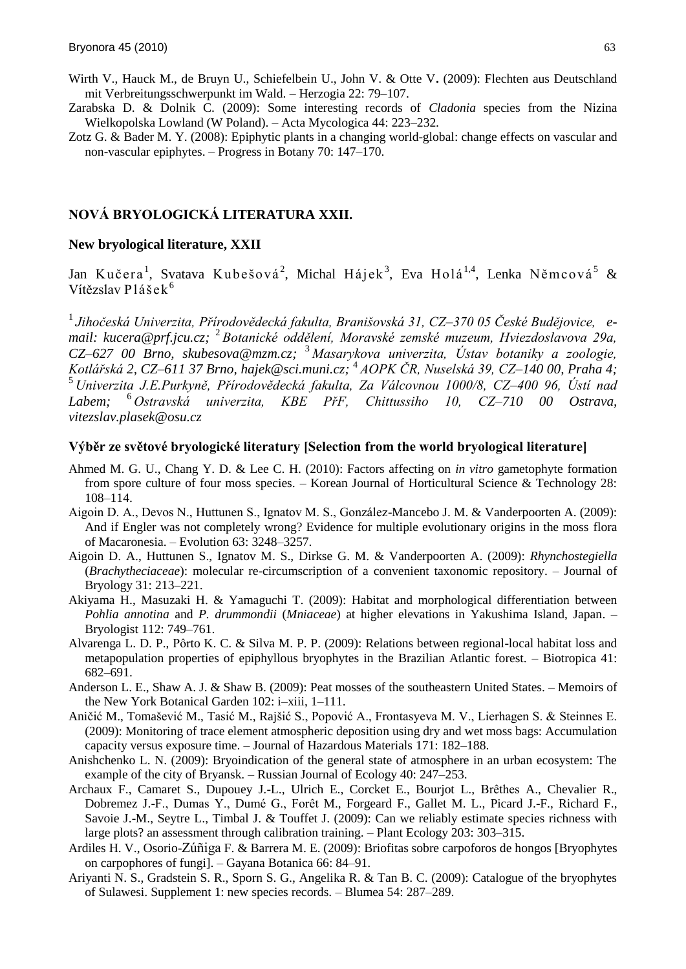- Wirth V., Hauck M., de Bruyn U., Schiefelbein U., John V. & Otte V**.** (2009): Flechten aus Deutschland mit Verbreitungsschwerpunkt im Wald. – Herzogia 22: 79–107.
- Zarabska D. & Dolnik C. (2009): Some interesting records of *Cladonia* species from the Nizina Wielkopolska Lowland (W Poland). – Acta Mycologica 44: 223–232.
- Zotz G. & Bader M. Y. (2008): Epiphytic plants in a changing world-global: change effects on vascular and non-vascular epiphytes. – Progress in Botany 70: 147–170.

# **NOVÁ BRYOLOGICKÁ LITERATURA XXII.**

## **New bryological literature, XXII**

Jan Kučera<sup>1</sup>, Svatava Kubešová<sup>2</sup>, Michal Hájek<sup>3</sup>, Eva Holá<sup>1,4</sup>, Lenka Němcová<sup>5</sup> & Vítězslav Plášek $^6$ 

1 *Jihočeská Univerzita, Přírodovědecká fakulta, Branišovská 31, CZ–370 05 České Budějovice, email: kucera@prf.jcu.cz;*  2 *Botanické oddělení, Moravské zemské muzeum, Hviezdoslavova 29a, CZ–627 00 Brno, skubesova@mzm.cz;*  <sup>3</sup> *Masarykova univerzita, Ústav botaniky a zoologie, Kotlářská 2, CZ–611 37 Brno, hajek@sci.muni.cz;*  4 *AOPK ČR, Nuselská 39, CZ–140 00, Praha 4;* <sup>5</sup> *Univerzita J.E.Purkyně, Přírodovědecká fakulta, Za Válcovnou 1000/8, CZ–400 96, Ústí nad Labem;* <sup>6</sup> *Ostravská univerzita, KBE PřF, Chittussiho 10, CZ–710 00 Ostrava, vitezslav.plasek@osu.cz*

#### **Výběr ze světové bryologické literatury [Selection from the world bryological literature]**

- Ahmed M. G. U., Chang Y. D. & Lee C. H. (2010): Factors affecting on *in vitro* gametophyte formation from spore culture of four moss species. – Korean Journal of Horticultural Science & Technology 28: 108–114.
- Aigoin D. A., Devos N., Huttunen S., Ignatov M. S., González-Mancebo J. M. & Vanderpoorten A. (2009): And if Engler was not completely wrong? Evidence for multiple evolutionary origins in the moss flora of Macaronesia. – Evolution 63: 3248–3257.
- Aigoin D. A., Huttunen S., Ignatov M. S., Dirkse G. M. & Vanderpoorten A. (2009): *Rhynchostegiella* (*Brachytheciaceae*): molecular re-circumscription of a convenient taxonomic repository. – Journal of Bryology 31: 213–221.
- Akiyama H., Masuzaki H. & Yamaguchi T. (2009): Habitat and morphological differentiation between *Pohlia annotina* and *P. drummondii* (*Mniaceae*) at higher elevations in Yakushima Island, Japan. – Bryologist 112: 749–761.
- Alvarenga L. D. P., Pôrto K. C. & Silva M. P. P. (2009): Relations between regional-local habitat loss and metapopulation properties of epiphyllous bryophytes in the Brazilian Atlantic forest. – Biotropica 41: 682–691.
- Anderson L. E., Shaw A. J. & Shaw B. (2009): Peat mosses of the southeastern United States. Memoirs of the New York Botanical Garden 102: i–xiii, 1–111.
- Aničić M., Tomańević M., Tasić M., Rajńić S., Popović A., Frontasyeva M. V., Lierhagen S. & Steinnes E. (2009): Monitoring of trace element atmospheric deposition using dry and wet moss bags: Accumulation capacity versus exposure time. – Journal of Hazardous Materials 171: 182–188.
- Anishchenko L. N. (2009): Bryoindication of the general state of atmosphere in an urban ecosystem: The example of the city of Bryansk. – Russian Journal of Ecology 40: 247–253.
- Archaux F., Camaret S., Dupouey J.-L., Ulrich E., Corcket E., Bourjot L., Brêthes A., Chevalier R., Dobremez J.-F., Dumas Y., Dumé G., Forêt M., Forgeard F., Gallet M. L., Picard J.-F., Richard F., Savoie J.-M., Seytre L., Timbal J. & Touffet J. (2009): Can we reliably estimate species richness with large plots? an assessment through calibration training. – Plant Ecology 203: 303–315.
- Ardiles H. V., Osorio-Zúñiga F. & Barrera M. E. (2009): Briofitas sobre carpoforos de hongos [Bryophytes on carpophores of fungi]. – Gayana Botanica 66: 84–91.
- Ariyanti N. S., Gradstein S. R., Sporn S. G., Angelika R. & Tan B. C. (2009): Catalogue of the bryophytes of Sulawesi. Supplement 1: new species records. – Blumea 54: 287–289.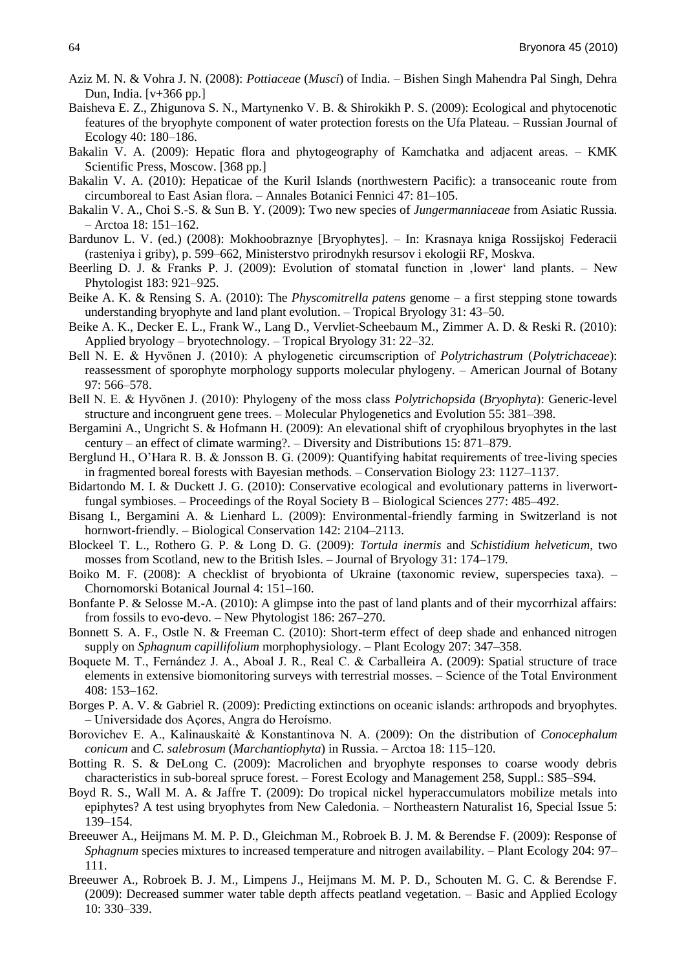- Aziz M. N. & Vohra J. N. (2008): *Pottiaceae* (*Musci*) of India. Bishen Singh Mahendra Pal Singh, Dehra Dun, India. [v+366 pp.]
- Baisheva E. Z., Zhigunova S. N., Martynenko V. B. & Shirokikh P. S. (2009): Ecological and phytocenotic features of the bryophyte component of water protection forests on the Ufa Plateau. – Russian Journal of Ecology 40: 180–186.
- Bakalin V. A. (2009): Hepatic flora and phytogeography of Kamchatka and adjacent areas. KMK Scientific Press, Moscow. [368 pp.]
- Bakalin V. A. (2010): Hepaticae of the Kuril Islands (northwestern Pacific): a transoceanic route from circumboreal to East Asian flora. – Annales Botanici Fennici 47: 81–105.
- Bakalin V. A., Choi S.-S. & Sun B. Y. (2009): Two new species of *Jungermanniaceae* from Asiatic Russia. – Arctoa 18: 151–162.
- Bardunov L. V. (ed.) (2008): Mokhoobraznye [Bryophytes]. In: Krasnaya kniga Rossijskoj Federacii (rasteniya i griby), p. 599–662, Ministerstvo prirodnykh resursov i ekologii RF, Moskva.
- Beerling D. J. & Franks P. J. (2009): Evolution of stomatal function in , lower land plants. New Phytologist 183: 921–925.
- Beike A. K. & Rensing S. A. (2010): The *Physcomitrella patens* genome a first stepping stone towards understanding bryophyte and land plant evolution. – Tropical Bryology 31: 43–50.
- Beike A. K., Decker E. L., Frank W., Lang D., Vervliet-Scheebaum M., Zimmer A. D. & Reski R. (2010): Applied bryology – bryotechnology. – Tropical Bryology 31: 22–32.
- Bell N. E. & Hyvönen J. (2010): A phylogenetic circumscription of *Polytrichastrum* (*Polytrichaceae*): reassessment of sporophyte morphology supports molecular phylogeny. – American Journal of Botany 97: 566–578.
- Bell N. E. & Hyvönen J. (2010): Phylogeny of the moss class *Polytrichopsida* (*Bryophyta*): Generic-level structure and incongruent gene trees. – Molecular Phylogenetics and Evolution 55: 381–398.
- Bergamini A., Ungricht S. & Hofmann H. (2009): An elevational shift of cryophilous bryophytes in the last century – an effect of climate warming?. – Diversity and Distributions 15: 871–879.
- Berglund H., O'Hara R. B. & Jonsson B. G. (2009): Quantifying habitat requirements of tree-living species in fragmented boreal forests with Bayesian methods. – Conservation Biology 23: 1127–1137.
- Bidartondo M. I. & Duckett J. G. (2010): Conservative ecological and evolutionary patterns in liverwortfungal symbioses. – Proceedings of the Royal Society B – Biological Sciences 277: 485–492.
- Bisang I., Bergamini A. & Lienhard L. (2009): Environmental-friendly farming in Switzerland is not hornwort-friendly. – Biological Conservation 142: 2104–2113.
- Blockeel T. L., Rothero G. P. & Long D. G. (2009): *Tortula inermis* and *Schistidium helveticum*, two mosses from Scotland, new to the British Isles. – Journal of Bryology 31: 174–179.
- Boiko M. F. (2008): A checklist of bryobionta of Ukraine (taxonomic review, superspecies taxa). Chornomorski Botanical Journal 4: 151–160.
- Bonfante P. & Selosse M.-A. (2010): A glimpse into the past of land plants and of their mycorrhizal affairs: from fossils to evo-devo. – New Phytologist 186: 267–270.
- Bonnett S. A. F., Ostle N. & Freeman C. (2010): Short-term effect of deep shade and enhanced nitrogen supply on *Sphagnum capillifolium* morphophysiology. – Plant Ecology 207: 347–358.
- Boquete M. T., Fernández J. A., Aboal J. R., Real C. & Carballeira A. (2009): Spatial structure of trace elements in extensive biomonitoring surveys with terrestrial mosses. – Science of the Total Environment 408: 153–162.
- Borges P. A. V. & Gabriel R. (2009): Predicting extinctions on oceanic islands: arthropods and bryophytes. – Universidade dos Açores, Angra do Heroìsmo.
- Borovichev E. A., Kalinauskaitė & Konstantinova N. A. (2009): On the distribution of *Conocephalum conicum* and *C. salebrosum* (*Marchantiophyta*) in Russia. – Arctoa 18: 115–120.
- Botting R. S. & DeLong C. (2009): Macrolichen and bryophyte responses to coarse woody debris characteristics in sub-boreal spruce forest. – Forest Ecology and Management 258, Suppl.: S85–S94.
- Boyd R. S., Wall M. A. & Jaffre T. (2009): Do tropical nickel hyperaccumulators mobilize metals into epiphytes? A test using bryophytes from New Caledonia. – Northeastern Naturalist 16, Special Issue 5: 139–154.
- Breeuwer A., Heijmans M. M. P. D., Gleichman M., Robroek B. J. M. & Berendse F. (2009): Response of *Sphagnum* species mixtures to increased temperature and nitrogen availability. – Plant Ecology 204: 97– 111.
- Breeuwer A., Robroek B. J. M., Limpens J., Heijmans M. M. P. D., Schouten M. G. C. & Berendse F. (2009): Decreased summer water table depth affects peatland vegetation. – Basic and Applied Ecology 10: 330–339.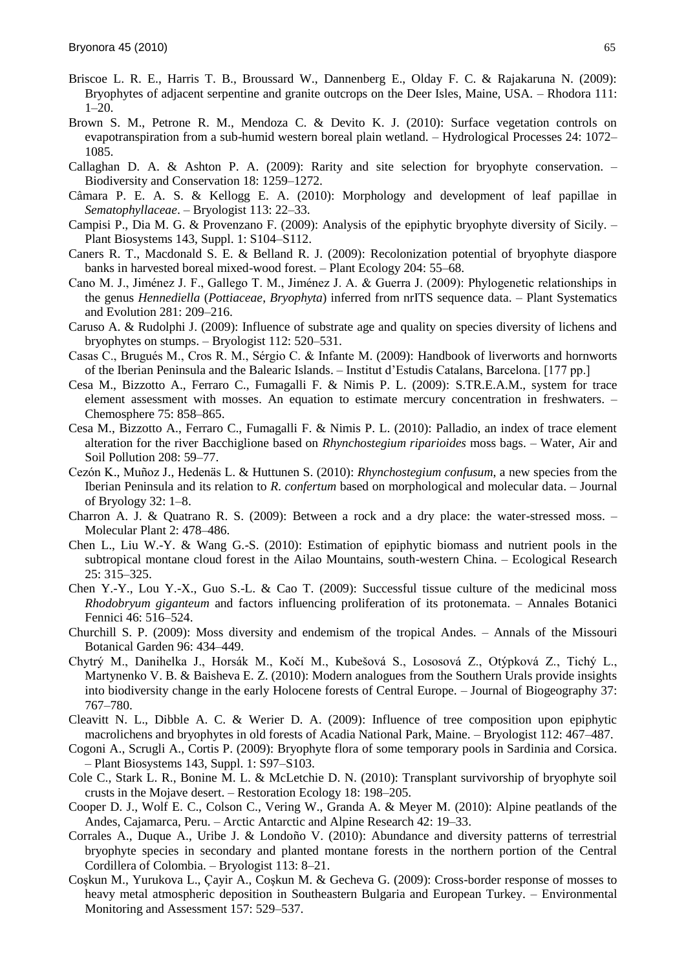- Briscoe L. R. E., Harris T. B., Broussard W., Dannenberg E., Olday F. C. & Rajakaruna N. (2009): Bryophytes of adjacent serpentine and granite outcrops on the Deer Isles, Maine, USA. – Rhodora 111: 1–20.
- Brown S. M., Petrone R. M., Mendoza C. & Devito K. J. (2010): Surface vegetation controls on evapotranspiration from a sub-humid western boreal plain wetland. – Hydrological Processes 24: 1072– 1085.
- Callaghan D. A. & Ashton P. A. (2009): Rarity and site selection for bryophyte conservation. Biodiversity and Conservation 18: 1259–1272.
- Câmara P. E. A. S. & Kellogg E. A. (2010): Morphology and development of leaf papillae in *Sematophyllaceae*. – Bryologist 113: 22–33.
- Campisi P., Dia M. G. & Provenzano F. (2009): Analysis of the epiphytic bryophyte diversity of Sicily. Plant Biosystems 143, Suppl. 1: S104–S112.
- Caners R. T., Macdonald S. E. & Belland R. J. (2009): Recolonization potential of bryophyte diaspore banks in harvested boreal mixed-wood forest. – Plant Ecology 204: 55–68.
- Cano M. J., Jiménez J. F., Gallego T. M., Jiménez J. A. & Guerra J. (2009): Phylogenetic relationships in the genus *Hennediella* (*Pottiaceae*, *Bryophyta*) inferred from nrITS sequence data. – Plant Systematics and Evolution 281: 209–216.
- Caruso A. & Rudolphi J. (2009): Influence of substrate age and quality on species diversity of lichens and bryophytes on stumps. – Bryologist 112: 520–531.
- Casas C., Brugués M., Cros R. M., Sérgio C. & Infante M. (2009): Handbook of liverworts and hornworts of the Iberian Peninsula and the Balearic Islands. – Institut d'Estudis Catalans, Barcelona. [177 pp.]
- Cesa M., Bizzotto A., Ferraro C., Fumagalli F. & Nimis P. L. (2009): S.TR.E.A.M., system for trace element assessment with mosses. An equation to estimate mercury concentration in freshwaters. – Chemosphere 75: 858–865.
- Cesa M., Bizzotto A., Ferraro C., Fumagalli F. & Nimis P. L. (2010): Palladio, an index of trace element alteration for the river Bacchiglione based on *Rhynchostegium riparioides* moss bags. – Water, Air and Soil Pollution 208: 59–77.
- Cezón K., Muñoz J., Hedenäs L. & Huttunen S. (2010): *Rhynchostegium confusum*, a new species from the Iberian Peninsula and its relation to *R. confertum* based on morphological and molecular data. – Journal of Bryology 32: 1–8.
- Charron A. J. & Quatrano R. S. (2009): Between a rock and a dry place: the water-stressed moss. Molecular Plant 2: 478–486.
- Chen L., Liu W.-Y. & Wang G.-S. (2010): Estimation of epiphytic biomass and nutrient pools in the subtropical montane cloud forest in the Ailao Mountains, south-western China. – Ecological Research 25: 315–325.
- Chen Y.-Y., Lou Y.-X., Guo S.-L. & Cao T. (2009): Successful tissue culture of the medicinal moss *Rhodobryum giganteum* and factors influencing proliferation of its protonemata. – Annales Botanici Fennici 46: 516–524.
- Churchill S. P. (2009): Moss diversity and endemism of the tropical Andes. Annals of the Missouri Botanical Garden 96: 434–449.
- Chytrý M., Danihelka J., Horsák M., Kočì M., Kubeńová S., Lososová Z., Otýpková Z., Tichý L., Martynenko V. B. & Baisheva E. Z. (2010): Modern analogues from the Southern Urals provide insights into biodiversity change in the early Holocene forests of Central Europe. – Journal of Biogeography 37: 767–780.
- Cleavitt N. L., Dibble A. C. & Werier D. A. (2009): Influence of tree composition upon epiphytic macrolichens and bryophytes in old forests of Acadia National Park, Maine. – Bryologist 112: 467–487.
- Cogoni A., Scrugli A., Cortis P. (2009): Bryophyte flora of some temporary pools in Sardinia and Corsica. – Plant Biosystems 143, Suppl. 1: S97–S103.
- Cole C., Stark L. R., Bonine M. L. & McLetchie D. N. (2010): Transplant survivorship of bryophyte soil crusts in the Mojave desert. – Restoration Ecology 18: 198–205.
- Cooper D. J., Wolf E. C., Colson C., Vering W., Granda A. & Meyer M. (2010): Alpine peatlands of the Andes, Cajamarca, Peru. – Arctic Antarctic and Alpine Research 42: 19–33.
- Corrales A., Duque A., Uribe J. & Londoño V. (2010): Abundance and diversity patterns of terrestrial bryophyte species in secondary and planted montane forests in the northern portion of the Central Cordillera of Colombia. – Bryologist 113: 8–21.
- Coşkun M., Yurukova L., Çayir A., Coşkun M. & Gecheva G. (2009): Cross-border response of mosses to heavy metal atmospheric deposition in Southeastern Bulgaria and European Turkey. – Environmental Monitoring and Assessment 157: 529–537.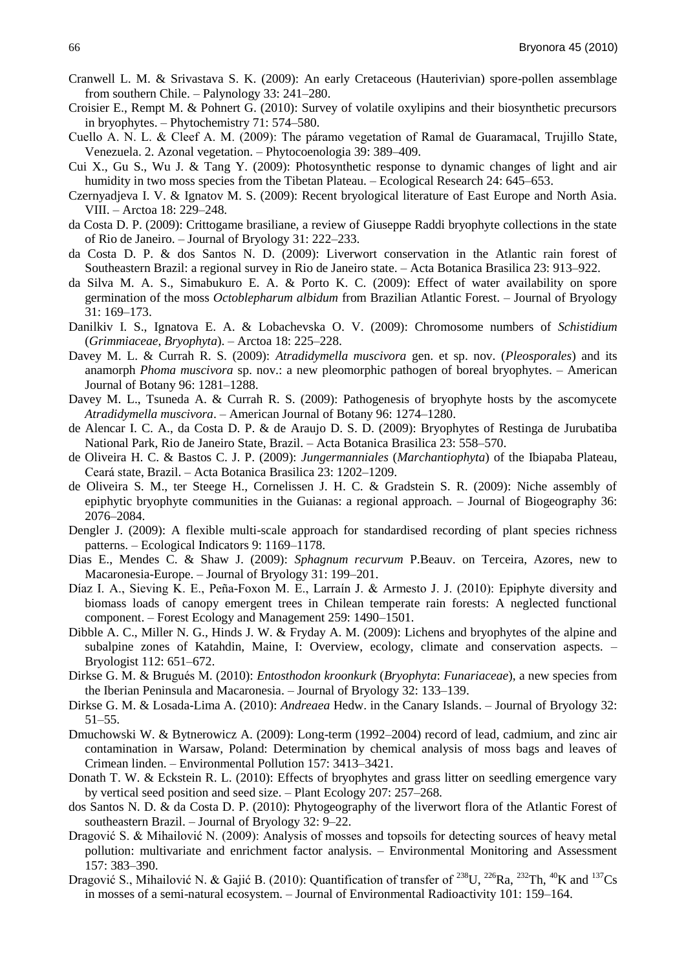- Cranwell L. M. & Srivastava S. K. (2009): An early Cretaceous (Hauterivian) spore-pollen assemblage from southern Chile. – Palynology 33: 241–280.
- Croisier E., Rempt M. & Pohnert G. (2010): Survey of volatile oxylipins and their biosynthetic precursors in bryophytes. – Phytochemistry 71: 574–580.
- Cuello A. N. L. & Cleef A. M. (2009): The páramo vegetation of Ramal de Guaramacal, Trujillo State, Venezuela. 2. Azonal vegetation. – Phytocoenologia 39: 389–409.
- Cui X., Gu S., Wu J. & Tang Y. (2009): Photosynthetic response to dynamic changes of light and air humidity in two moss species from the Tibetan Plateau. – Ecological Research 24: 645–653.
- Czernyadjeva I. V. & Ignatov M. S. (2009): Recent bryological literature of East Europe and North Asia. VIII. – Arctoa 18: 229–248.
- da Costa D. P. (2009): Crittogame brasiliane, a review of Giuseppe Raddi bryophyte collections in the state of Rio de Janeiro. – Journal of Bryology 31: 222–233.
- da Costa D. P. & dos Santos N. D. (2009): Liverwort conservation in the Atlantic rain forest of Southeastern Brazil: a regional survey in Rio de Janeiro state. – Acta Botanica Brasilica 23: 913–922.
- da Silva M. A. S., Simabukuro E. A. & Porto K. C. (2009): Effect of water availability on spore germination of the moss *Octoblepharum albidum* from Brazilian Atlantic Forest. – Journal of Bryology 31: 169–173.
- Danilkiv I. S., Ignatova E. A. & Lobachevska O. V. (2009): Chromosome numbers of *Schistidium* (*Grimmiaceae*, *Bryophyta*). – Arctoa 18: 225–228.
- Davey M. L. & Currah R. S. (2009): *Atradidymella muscivora* gen. et sp. nov. (*Pleosporales*) and its anamorph *Phoma muscivora* sp. nov.: a new pleomorphic pathogen of boreal bryophytes. – American Journal of Botany 96: 1281–1288.
- Davey M. L., Tsuneda A. & Currah R. S. (2009): Pathogenesis of bryophyte hosts by the ascomycete *Atradidymella muscivora*. – American Journal of Botany 96: 1274–1280.
- de Alencar I. C. A., da Costa D. P. & de Araujo D. S. D. (2009): Bryophytes of Restinga de Jurubatiba National Park, Rio de Janeiro State, Brazil. – Acta Botanica Brasilica 23: 558–570.
- de Oliveira H. C. & Bastos C. J. P. (2009): *Jungermanniales* (*Marchantiophyta*) of the Ibiapaba Plateau, Ceará state, Brazil. – Acta Botanica Brasilica 23: 1202–1209.
- de Oliveira S. M., ter Steege H., Cornelissen J. H. C. & Gradstein S. R. (2009): Niche assembly of epiphytic bryophyte communities in the Guianas: a regional approach. – Journal of Biogeography 36: 2076–2084.
- Dengler J. (2009): A flexible multi-scale approach for standardised recording of plant species richness patterns. – Ecological Indicators 9: 1169–1178.
- Dias E., Mendes C. & Shaw J. (2009): *Sphagnum recurvum* P.Beauv. on Terceira, Azores, new to Macaronesia-Europe. – Journal of Bryology 31: 199–201.
- Díaz I. A., Sieving K. E., Peña-Foxon M. E., Larraín J. & Armesto J. J. (2010): Epiphyte diversity and biomass loads of canopy emergent trees in Chilean temperate rain forests: A neglected functional component. – Forest Ecology and Management 259: 1490–1501.
- Dibble A. C., Miller N. G., Hinds J. W. & Fryday A. M. (2009): Lichens and bryophytes of the alpine and subalpine zones of Katahdin, Maine, I: Overview, ecology, climate and conservation aspects. – Bryologist 112: 651–672.
- Dirkse G. M. & Brugués M. (2010): *Entosthodon kroonkurk* (*Bryophyta*: *Funariaceae*), a new species from the Iberian Peninsula and Macaronesia. – Journal of Bryology 32: 133–139.
- Dirkse G. M. & Losada-Lima A. (2010): *Andreaea* Hedw. in the Canary Islands. Journal of Bryology 32: 51–55.
- Dmuchowski W. & Bytnerowicz A. (2009): Long-term (1992–2004) record of lead, cadmium, and zinc air contamination in Warsaw, Poland: Determination by chemical analysis of moss bags and leaves of Crimean linden. – Environmental Pollution 157: 3413–3421.
- Donath T. W. & Eckstein R. L. (2010): Effects of bryophytes and grass litter on seedling emergence vary by vertical seed position and seed size. – Plant Ecology 207: 257–268.
- dos Santos N. D. & da Costa D. P. (2010): Phytogeography of the liverwort flora of the Atlantic Forest of southeastern Brazil. – Journal of Bryology 32: 9–22.
- Dragović S. & Mihailović N. (2009): Analysis of mosses and topsoils for detecting sources of heavy metal pollution: multivariate and enrichment factor analysis. – Environmental Monitoring and Assessment 157: 383–390.
- Dragović S., Mihailović N. & Gajić B. (2010): Quantification of transfer of <sup>238</sup>U, <sup>226</sup>Ra, <sup>232</sup>Th, <sup>40</sup>K and <sup>137</sup>Cs in mosses of a semi-natural ecosystem. – Journal of Environmental Radioactivity 101: 159–164.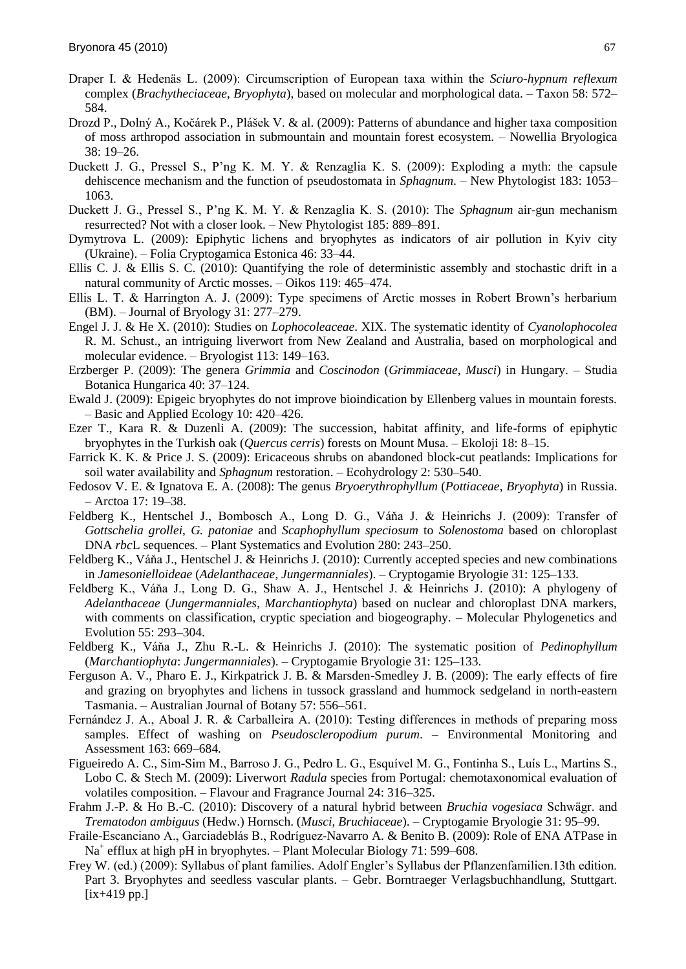- Draper I. & Hedenäs L. (2009): Circumscription of European taxa within the *Sciuro-hypnum reflexum* complex (*Brachytheciaceae*, *Bryophyta*), based on molecular and morphological data. – Taxon 58: 572– 584.
- Drozd P., Dolný A., Kočárek P., Plášek V. & al. (2009): Patterns of abundance and higher taxa composition of moss arthropod association in submountain and mountain forest ecosystem. – Nowellia Bryologica 38: 19–26.
- Duckett J. G., Pressel S., P'ng K. M. Y. & Renzaglia K. S. (2009): Exploding a myth: the capsule dehiscence mechanism and the function of pseudostomata in *Sphagnum*. – New Phytologist 183: 1053– 1063.
- Duckett J. G., Pressel S., P'ng K. M. Y. & Renzaglia K. S. (2010): The *Sphagnum* air-gun mechanism resurrected? Not with a closer look. – New Phytologist 185: 889–891.
- Dymytrova L. (2009): Epiphytic lichens and bryophytes as indicators of air pollution in Kyiv city (Ukraine). – Folia Cryptogamica Estonica 46: 33–44.
- Ellis C. J. & Ellis S. C. (2010): Quantifying the role of deterministic assembly and stochastic drift in a natural community of Arctic mosses. – Oikos 119: 465–474.
- Ellis L. T. & Harrington A. J. (2009): Type specimens of Arctic mosses in Robert Brown's herbarium (BM). – Journal of Bryology 31: 277–279.
- Engel J. J. & He X. (2010): Studies on *Lophocoleaceae*. XIX. The systematic identity of *Cyanolophocolea* R. M. Schust., an intriguing liverwort from New Zealand and Australia, based on morphological and molecular evidence. – Bryologist 113: 149–163.
- Erzberger P. (2009): The genera *Grimmia* and *Coscinodon* (*Grimmiaceae*, *Musci*) in Hungary. Studia Botanica Hungarica 40: 37–124.
- Ewald J. (2009): Epigeic bryophytes do not improve bioindication by Ellenberg values in mountain forests. – Basic and Applied Ecology 10: 420–426.
- Ezer T., Kara R. & Duzenli A. (2009): The succession, habitat affinity, and life-forms of epiphytic bryophytes in the Turkish oak (*Quercus cerris*) forests on Mount Musa. – Ekoloji 18: 8–15.
- Farrick K. K. & Price J. S. (2009): Ericaceous shrubs on abandoned block-cut peatlands: Implications for soil water availability and *Sphagnum* restoration. – Ecohydrology 2: 530–540.
- Fedosov V. E. & Ignatova E. A. (2008): The genus *Bryoerythrophyllum* (*Pottiaceae*, *Bryophyta*) in Russia. – Arctoa 17: 19–38.
- Feldberg K., Hentschel J., Bombosch A., Long D. G., Váňa J. & Heinrichs J. (2009): Transfer of *Gottschelia grollei*, *G. patoniae* and *Scaphophyllum speciosum* to *Solenostoma* based on chloroplast DNA *rbc*L sequences. – Plant Systematics and Evolution 280: 243–250.
- Feldberg K., Váňa J., Hentschel J. & Heinrichs J. (2010): Currently accepted species and new combinations in *Jamesonielloideae* (*Adelanthaceae*, *Jungermanniales*). – Cryptogamie Bryologie 31: 125–133.
- Feldberg K., Váňa J., Long D. G., Shaw A. J., Hentschel J. & Heinrichs J. (2010): A phylogeny of *Adelanthaceae* (*Jungermanniales*, *Marchantiophyta*) based on nuclear and chloroplast DNA markers, with comments on classification, cryptic speciation and biogeography. – Molecular Phylogenetics and Evolution 55: 293–304.
- Feldberg K., Váňa J., Zhu R.-L. & Heinrichs J. (2010): The systematic position of *Pedinophyllum* (*Marchantiophyta*: *Jungermanniales*). – Cryptogamie Bryologie 31: 125–133.
- Ferguson A. V., Pharo E. J., Kirkpatrick J. B. & Marsden-Smedley J. B. (2009): The early effects of fire and grazing on bryophytes and lichens in tussock grassland and hummock sedgeland in north-eastern Tasmania. – Australian Journal of Botany 57: 556–561.
- Fernández J. A., Aboal J. R. & Carballeira A. (2010): Testing differences in methods of preparing moss samples. Effect of washing on *Pseudoscleropodium purum*. – Environmental Monitoring and Assessment 163: 669–684.
- Figueiredo A. C., Sim-Sim M., Barroso J. G., Pedro L. G., Esquìvel M. G., Fontinha S., Luìs L., Martins S., Lobo C. & Stech M. (2009): Liverwort *Radula* species from Portugal: chemotaxonomical evaluation of volatiles composition. – Flavour and Fragrance Journal 24: 316–325.
- Frahm J.-P. & Ho B.-C. (2010): Discovery of a natural hybrid between *Bruchia vogesiaca* Schwägr. and *Trematodon ambiguus* (Hedw.) Hornsch. (*Musci*, *Bruchiaceae*). – Cryptogamie Bryologie 31: 95–99.
- Fraile-Escanciano A., Garciadeblás B., Rodrìguez-Navarro A. & Benito B. (2009): Role of ENA ATPase in Na<sup>+</sup> efflux at high pH in bryophytes. – Plant Molecular Biology 71: 599–608.
- Frey W. (ed.) (2009): Syllabus of plant families. Adolf Engler's Syllabus der Pflanzenfamilien.13th edition. Part 3. Bryophytes and seedless vascular plants. – Gebr. Borntraeger Verlagsbuchhandlung, Stuttgart. [ix+419 pp.]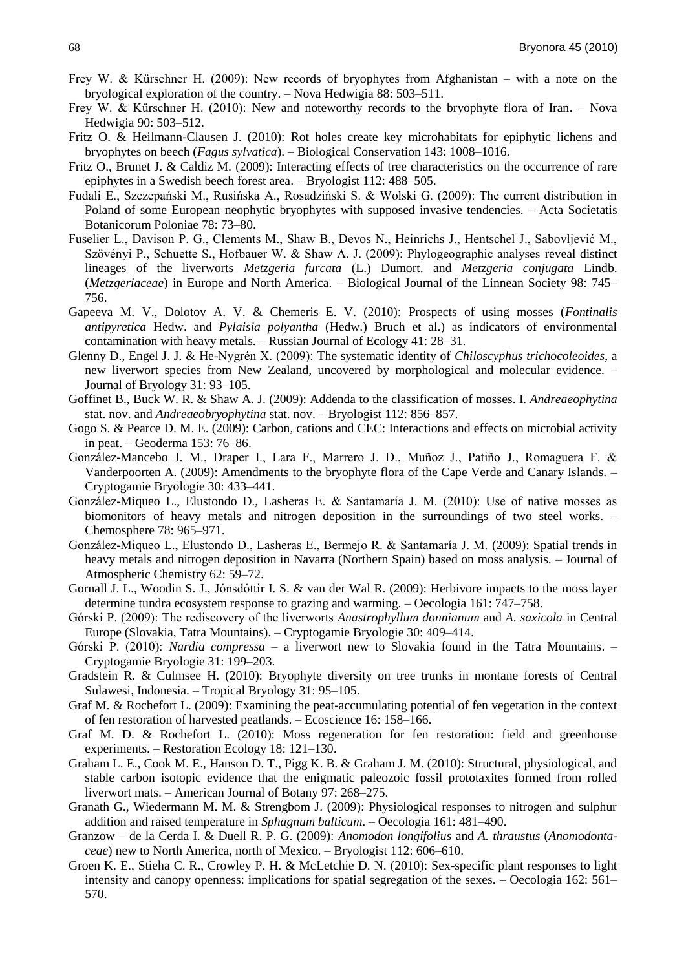- Frey W. & Kürschner H. (2009): New records of bryophytes from Afghanistan with a note on the bryological exploration of the country. – Nova Hedwigia 88: 503–511.
- Frey W. & Kürschner H. (2010): New and noteworthy records to the bryophyte flora of Iran. Nova Hedwigia 90: 503–512.
- Fritz O. & Heilmann-Clausen J. (2010): Rot holes create key microhabitats for epiphytic lichens and bryophytes on beech (*Fagus sylvatica*). – Biological Conservation 143: 1008–1016.
- Fritz O., Brunet J. & Caldiz M. (2009): Interacting effects of tree characteristics on the occurrence of rare epiphytes in a Swedish beech forest area. – Bryologist 112: 488–505.
- Fudali E., Szczepański M., Rusińska A., Rosadziński S. & Wolski G. (2009): The current distribution in Poland of some European neophytic bryophytes with supposed invasive tendencies. – Acta Societatis Botanicorum Poloniae 78: 73–80.
- Fuselier L., Davison P. G., Clements M., Shaw B., Devos N., Heinrichs J., Hentschel J., Sabovljević M., Szövényi P., Schuette S., Hofbauer W. & Shaw A. J. (2009): Phylogeographic analyses reveal distinct lineages of the liverworts *Metzgeria furcata* (L.) Dumort. and *Metzgeria conjugata* Lindb. (*Metzgeriaceae*) in Europe and North America. – Biological Journal of the Linnean Society 98: 745– 756.
- Gapeeva M. V., Dolotov A. V. & Chemeris E. V. (2010): Prospects of using mosses (*Fontinalis antipyretica* Hedw. and *Pylaisia polyantha* (Hedw.) Bruch et al.) as indicators of environmental contamination with heavy metals. – Russian Journal of Ecology 41: 28–31.
- Glenny D., Engel J. J. & He-Nygrén X. (2009): The systematic identity of *Chiloscyphus trichocoleoides*, a new liverwort species from New Zealand, uncovered by morphological and molecular evidence. – Journal of Bryology 31: 93–105.
- Goffinet B., Buck W. R. & Shaw A. J. (2009): Addenda to the classification of mosses. I. *Andreaeophytina* stat. nov. and *Andreaeobryophytina* stat. nov. – Bryologist 112: 856–857.
- Gogo S. & Pearce D. M. E. (2009): Carbon, cations and CEC: Interactions and effects on microbial activity in peat. – Geoderma 153: 76–86.
- González-Mancebo J. M., Draper I., Lara F., Marrero J. D., Muñoz J., Patiño J., Romaguera F. & Vanderpoorten A. (2009): Amendments to the bryophyte flora of the Cape Verde and Canary Islands. – Cryptogamie Bryologie 30: 433–441.
- González-Miqueo L., Elustondo D., Lasheras E. & Santamaría J. M. (2010): Use of native mosses as biomonitors of heavy metals and nitrogen deposition in the surroundings of two steel works. – Chemosphere 78: 965–971.
- González-Miqueo L., Elustondo D., Lasheras E., Bermejo R. & Santamarìa J. M. (2009): Spatial trends in heavy metals and nitrogen deposition in Navarra (Northern Spain) based on moss analysis. – Journal of Atmospheric Chemistry 62: 59–72.
- Gornall J. L., Woodin S. J., Jónsdóttir I. S. & van der Wal R. (2009): Herbivore impacts to the moss layer determine tundra ecosystem response to grazing and warming. – Oecologia 161: 747–758.
- Górski P. (2009): The rediscovery of the liverworts *Anastrophyllum donnianum* and *A*. *saxicola* in Central Europe (Slovakia, Tatra Mountains). – Cryptogamie Bryologie 30: 409–414.
- Górski P. (2010): *Nardia compressa* a liverwort new to Slovakia found in the Tatra Mountains. Cryptogamie Bryologie 31: 199–203.
- Gradstein R. & Culmsee H. (2010): Bryophyte diversity on tree trunks in montane forests of Central Sulawesi, Indonesia. – Tropical Bryology 31: 95–105.
- Graf M. & Rochefort L. (2009): Examining the peat-accumulating potential of fen vegetation in the context of fen restoration of harvested peatlands. – Ecoscience 16: 158–166.
- Graf M. D. & Rochefort L. (2010): Moss regeneration for fen restoration: field and greenhouse experiments. – Restoration Ecology 18: 121–130.
- Graham L. E., Cook M. E., Hanson D. T., Pigg K. B. & Graham J. M. (2010): Structural, physiological, and stable carbon isotopic evidence that the enigmatic paleozoic fossil prototaxites formed from rolled liverwort mats. – American Journal of Botany 97: 268–275.
- Granath G., Wiedermann M. M. & Strengbom J. (2009): Physiological responses to nitrogen and sulphur addition and raised temperature in *Sphagnum balticum*. – Oecologia 161: 481–490.
- Granzow de la Cerda I. & Duell R. P. G. (2009): *Anomodon longifolius* and *A. thraustus* (*Anomodontaceae*) new to North America, north of Mexico. – Bryologist 112: 606–610.
- Groen K. E., Stieha C. R., Crowley P. H. & McLetchie D. N. (2010): Sex-specific plant responses to light intensity and canopy openness: implications for spatial segregation of the sexes. – Oecologia 162: 561– 570.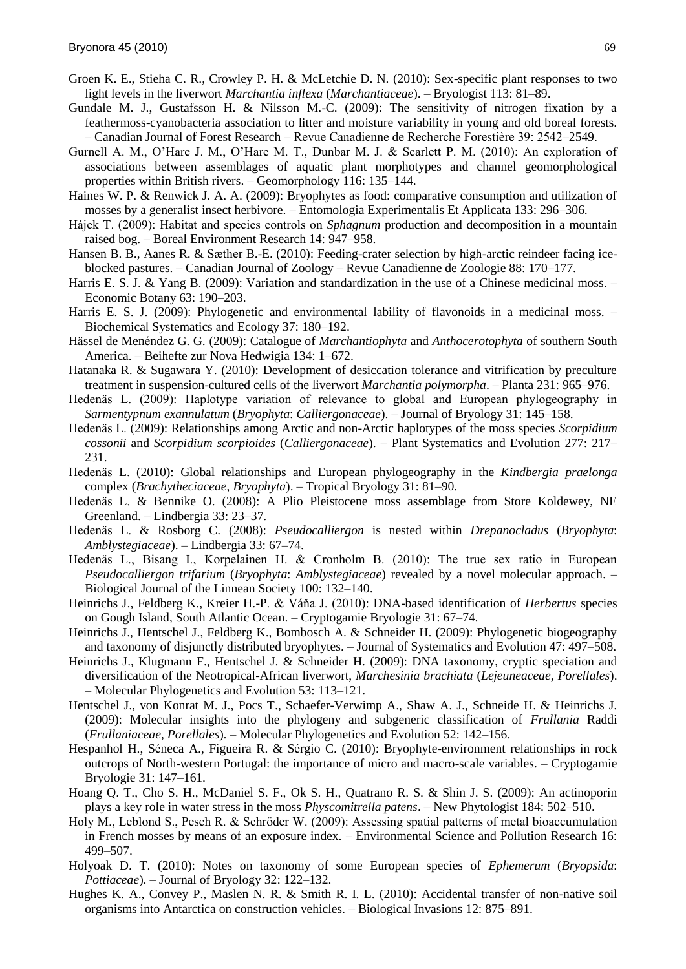- Groen K. E., Stieha C. R., Crowley P. H. & McLetchie D. N. (2010): Sex-specific plant responses to two light levels in the liverwort *Marchantia inflexa* (*Marchantiaceae*). – Bryologist 113: 81–89.
- Gundale M. J., Gustafsson H. & Nilsson M.-C. (2009): The sensitivity of nitrogen fixation by a feathermoss-cyanobacteria association to litter and moisture variability in young and old boreal forests. – Canadian Journal of Forest Research – Revue Canadienne de Recherche Forestière 39: 2542–2549.
- Gurnell A. M., O'Hare J. M., O'Hare M. T., Dunbar M. J. & Scarlett P. M. (2010): An exploration of associations between assemblages of aquatic plant morphotypes and channel geomorphological properties within British rivers. – Geomorphology 116: 135–144.
- Haines W. P. & Renwick J. A. A. (2009): Bryophytes as food: comparative consumption and utilization of mosses by a generalist insect herbivore. – Entomologia Experimentalis Et Applicata 133: 296–306.
- Hájek T. (2009): Habitat and species controls on *Sphagnum* production and decomposition in a mountain raised bog. – Boreal Environment Research 14: 947–958.
- Hansen B. B., Aanes R. & Sæther B.-E. (2010): Feeding-crater selection by high-arctic reindeer facing iceblocked pastures. – Canadian Journal of Zoology – Revue Canadienne de Zoologie 88: 170–177.
- Harris E. S. J. & Yang B. (2009): Variation and standardization in the use of a Chinese medicinal moss. Economic Botany 63: 190–203.
- Harris E. S. J. (2009): Phylogenetic and environmental lability of flavonoids in a medicinal moss. Biochemical Systematics and Ecology 37: 180–192.
- Hässel de Menéndez G. G. (2009): Catalogue of *Marchantiophyta* and *Anthocerotophyta* of southern South America. – Beihefte zur Nova Hedwigia 134: 1–672.
- Hatanaka R. & Sugawara Y. (2010): Development of desiccation tolerance and vitrification by preculture treatment in suspension-cultured cells of the liverwort *Marchantia polymorpha*. – Planta 231: 965–976.
- Hedenäs L. (2009): Haplotype variation of relevance to global and European phylogeography in *Sarmentypnum exannulatum* (*Bryophyta*: *Calliergonaceae*). – Journal of Bryology 31: 145–158.
- Hedenäs L. (2009): Relationships among Arctic and non-Arctic haplotypes of the moss species *Scorpidium cossonii* and *Scorpidium scorpioides* (*Calliergonaceae*). – Plant Systematics and Evolution 277: 217– 231.
- Hedenäs L. (2010): Global relationships and European phylogeography in the *Kindbergia praelonga* complex (*Brachytheciaceae*, *Bryophyta*). – Tropical Bryology 31: 81–90.
- Hedenäs L. & Bennike O. (2008): A Plio Pleistocene moss assemblage from Store Koldewey, NE Greenland. – Lindbergia 33: 23–37.
- Hedenäs L. & Rosborg C. (2008): *Pseudocalliergon* is nested within *Drepanocladus* (*Bryophyta*: *Amblystegiaceae*). – Lindbergia 33: 67–74.
- Hedenäs L., Bisang I., Korpelainen H. & Cronholm B. (2010): The true sex ratio in European *Pseudocalliergon trifarium* (*Bryophyta*: *Amblystegiaceae*) revealed by a novel molecular approach. – Biological Journal of the Linnean Society 100: 132–140.
- Heinrichs J., Feldberg K., Kreier H.-P. & Váňa J. (2010): DNA-based identification of *Herbertus* species on Gough Island, South Atlantic Ocean. – Cryptogamie Bryologie 31: 67–74.
- Heinrichs J., Hentschel J., Feldberg K., Bombosch A. & Schneider H. (2009): Phylogenetic biogeography and taxonomy of disjunctly distributed bryophytes. – Journal of Systematics and Evolution 47: 497–508.
- Heinrichs J., Klugmann F., Hentschel J. & Schneider H. (2009): DNA taxonomy, cryptic speciation and diversification of the Neotropical-African liverwort, *Marchesinia brachiata* (*Lejeuneaceae*, *Porellales*). – Molecular Phylogenetics and Evolution 53: 113–121.
- Hentschel J., von Konrat M. J., Pocs T., Schaefer-Verwimp A., Shaw A. J., Schneide H. & Heinrichs J. (2009): Molecular insights into the phylogeny and subgeneric classification of *Frullania* Raddi (*Frullaniaceae*, *Porellales*). – Molecular Phylogenetics and Evolution 52: 142–156.
- Hespanhol H., Séneca A., Figueira R. & Sérgio C. (2010): Bryophyte-environment relationships in rock outcrops of North-western Portugal: the importance of micro and macro-scale variables. – Cryptogamie Bryologie 31: 147–161.
- Hoang Q. T., Cho S. H., McDaniel S. F., Ok S. H., Quatrano R. S. & Shin J. S. (2009): An actinoporin plays a key role in water stress in the moss *Physcomitrella patens*. – New Phytologist 184: 502–510.
- Holy M., Leblond S., Pesch R. & Schröder W. (2009): Assessing spatial patterns of metal bioaccumulation in French mosses by means of an exposure index. – Environmental Science and Pollution Research 16: 499–507.
- Holyoak D. T. (2010): Notes on taxonomy of some European species of *Ephemerum* (*Bryopsida*: *Pottiaceae*). – Journal of Bryology 32: 122–132.
- Hughes K. A., Convey P., Maslen N. R. & Smith R. I. L. (2010): Accidental transfer of non-native soil organisms into Antarctica on construction vehicles. – Biological Invasions 12: 875–891.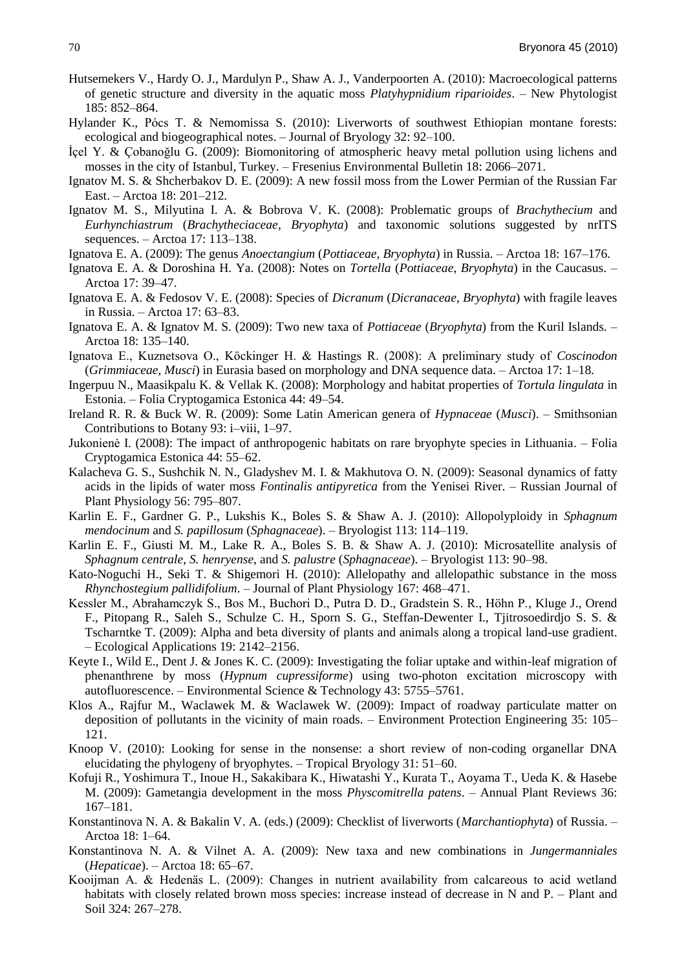- Hutsemekers V., Hardy O. J., Mardulyn P., Shaw A. J., Vanderpoorten A. (2010): Macroecological patterns of genetic structure and diversity in the aquatic moss *Platyhypnidium riparioides*. – New Phytologist 185: 852–864.
- Hylander K., Pócs T. & Nemomissa S. (2010): Liverworts of southwest Ethiopian montane forests: ecological and biogeographical notes. – Journal of Bryology 32: 92–100.
- İçel Y. & Çobanoğlu G. (2009): Biomonitoring of atmospheric heavy metal pollution using lichens and mosses in the city of Istanbul, Turkey. – Fresenius Environmental Bulletin 18: 2066–2071.
- Ignatov M. S. & Shcherbakov D. E. (2009): A new fossil moss from the Lower Permian of the Russian Far East. – Arctoa 18: 201–212.
- Ignatov M. S., Milyutina I. A. & Bobrova V. K. (2008): Problematic groups of *Brachythecium* and *Eurhynchiastrum* (*Brachytheciaceae*, *Bryophyta*) and taxonomic solutions suggested by nrITS sequences. – Arctoa 17: 113–138.
- Ignatova E. A. (2009): The genus *Anoectangium* (*Pottiaceae*, *Bryophyta*) in Russia. Arctoa 18: 167–176.
- Ignatova E. A. & Doroshina H. Ya. (2008): Notes on *Tortella* (*Pottiaceae*, *Bryophyta*) in the Caucasus. Arctoa 17: 39–47.
- Ignatova E. A. & Fedosov V. E. (2008): Species of *Dicranum* (*Dicranaceae*, *Bryophyta*) with fragile leaves in Russia. – Arctoa 17: 63–83.
- Ignatova E. A. & Ignatov M. S. (2009): Two new taxa of *Pottiaceae* (*Bryophyta*) from the Kuril Islands. Arctoa 18: 135–140.
- Ignatova E., Kuznetsova O., Köckinger H. & Hastings R. (2008): A preliminary study of *Coscinodon* (*Grimmiaceae*, *Musci*) in Eurasia based on morphology and DNA sequence data. – Arctoa 17: 1–18.
- Ingerpuu N., Maasikpalu K. & Vellak K. (2008): Morphology and habitat properties of *Tortula lingulata* in Estonia. – Folia Cryptogamica Estonica 44: 49–54.
- Ireland R. R. & Buck W. R. (2009): Some Latin American genera of *Hypnaceae* (*Musci*). Smithsonian Contributions to Botany 93: i–viii, 1–97.
- Jukonienė I. (2008): The impact of anthropogenic habitats on rare bryophyte species in Lithuania. Folia Cryptogamica Estonica 44: 55–62.
- Kalacheva G. S., Sushchik N. N., Gladyshev M. I. & Makhutova O. N. (2009): Seasonal dynamics of fatty acids in the lipids of water moss *Fontinalis antipyretica* from the Yenisei River. – Russian Journal of Plant Physiology 56: 795–807.
- Karlin E. F., Gardner G. P., Lukshis K., Boles S. & Shaw A. J. (2010): Allopolyploidy in *Sphagnum mendocinum* and *S. papillosum* (*Sphagnaceae*). – Bryologist 113: 114–119.
- Karlin E. F., Giusti M. M., Lake R. A., Boles S. B. & Shaw A. J. (2010): Microsatellite analysis of *Sphagnum centrale*, *S. henryense*, and *S. palustre* (*Sphagnaceae*). – Bryologist 113: 90–98.
- Kato-Noguchi H., Seki T. & Shigemori H. (2010): Allelopathy and allelopathic substance in the moss *Rhynchostegium pallidifolium*. – Journal of Plant Physiology 167: 468–471.
- Kessler M., Abrahamczyk S., Bos M., Buchori D., Putra D. D., Gradstein S. R., Höhn P., Kluge J., Orend F., Pitopang R., Saleh S., Schulze C. H., Sporn S. G., Steffan-Dewenter I., Tjitrosoedirdjo S. S. & Tscharntke T. (2009): Alpha and beta diversity of plants and animals along a tropical land-use gradient. – Ecological Applications 19: 2142–2156.
- Keyte I., Wild E., Dent J. & Jones K. C. (2009): Investigating the foliar uptake and within-leaf migration of phenanthrene by moss (*Hypnum cupressiforme*) using two-photon excitation microscopy with autofluorescence. – Environmental Science & Technology 43: 5755–5761.
- Klos A., Rajfur M., Waclawek M. & Waclawek W. (2009): Impact of roadway particulate matter on deposition of pollutants in the vicinity of main roads. – Environment Protection Engineering 35: 105– 121.
- Knoop V. (2010): Looking for sense in the nonsense: a short review of non-coding organellar DNA elucidating the phylogeny of bryophytes. – Tropical Bryology 31: 51–60.
- Kofuji R., Yoshimura T., Inoue H., Sakakibara K., Hiwatashi Y., Kurata T., Aoyama T., Ueda K. & Hasebe M. (2009): Gametangia development in the moss *Physcomitrella patens*. – Annual Plant Reviews 36: 167–181.
- Konstantinova N. A. & Bakalin V. A. (eds.) (2009): Checklist of liverworts (*Marchantiophyta*) of Russia. Arctoa 18: 1–64.
- Konstantinova N. A. & Vilnet A. A. (2009): New taxa and new combinations in *Jungermanniales* (*Hepaticae*). – Arctoa 18: 65–67.
- Kooijman A. & Hedenäs L. (2009): Changes in nutrient availability from calcareous to acid wetland habitats with closely related brown moss species: increase instead of decrease in N and P. – Plant and Soil 324: 267–278.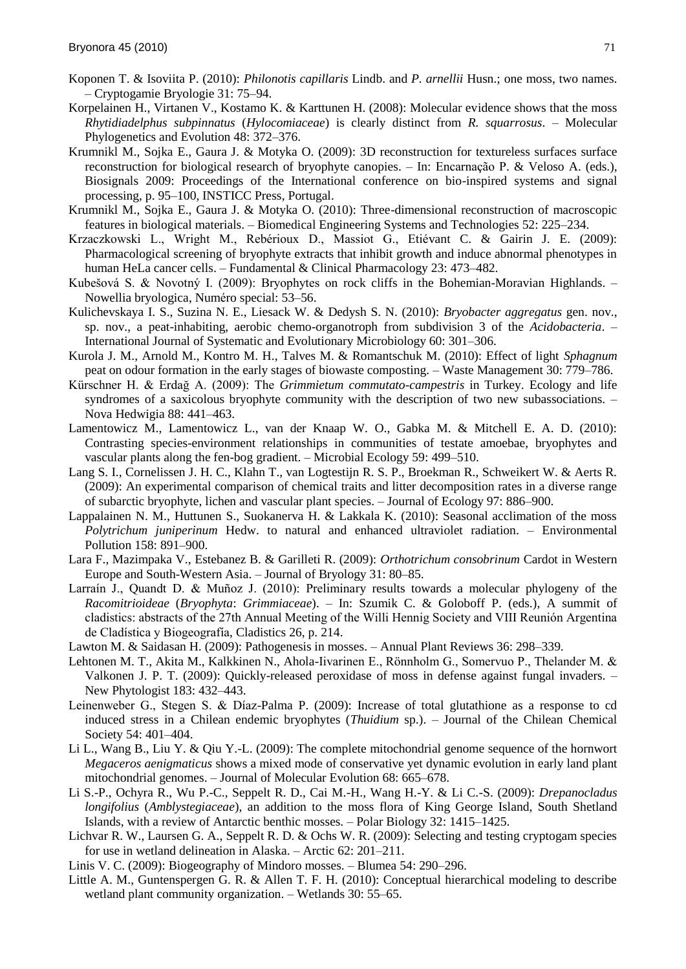- Koponen T. & Isoviita P. (2010): *Philonotis capillaris* Lindb. and *P. arnellii* Husn.; one moss, two names. – Cryptogamie Bryologie 31: 75–94.
- Korpelainen H., Virtanen V., Kostamo K. & Karttunen H. (2008): Molecular evidence shows that the moss *Rhytidiadelphus subpinnatus* (*Hylocomiaceae*) is clearly distinct from *R. squarrosus*. – Molecular Phylogenetics and Evolution 48: 372–376.
- Krumnikl M., Sojka E., Gaura J. & Motyka O. (2009): 3D reconstruction for textureless surfaces surface reconstruction for biological research of bryophyte canopies. – In: Encarnação P. & Veloso A. (eds.), Biosignals 2009: Proceedings of the International conference on bio-inspired systems and signal processing, p. 95–100, INSTICC Press, Portugal.
- Krumnikl M., Sojka E., Gaura J. & Motyka O. (2010): Three-dimensional reconstruction of macroscopic features in biological materials. – Biomedical Engineering Systems and Technologies 52: 225–234.
- Krzaczkowski L., Wright M., Rebérioux D., Massiot G., Etiévant C. & Gairin J. E. (2009): Pharmacological screening of bryophyte extracts that inhibit growth and induce abnormal phenotypes in human HeLa cancer cells. – Fundamental & Clinical Pharmacology 23: 473–482.
- Kubešová S. & Novotný I. (2009): Bryophytes on rock cliffs in the Bohemian-Moravian Highlands. -Nowellia bryologica, Numéro special: 53–56.
- Kulichevskaya I. S., Suzina N. E., Liesack W. & Dedysh S. N. (2010): *Bryobacter aggregatus* gen. nov., sp. nov., a peat-inhabiting, aerobic chemo-organotroph from subdivision 3 of the *Acidobacteria*. – International Journal of Systematic and Evolutionary Microbiology 60: 301–306.
- Kurola J. M., Arnold M., Kontro M. H., Talves M. & Romantschuk M. (2010): Effect of light *Sphagnum* peat on odour formation in the early stages of biowaste composting. – Waste Management 30: 779–786.
- Kürschner H. & Erdağ A. (2009): The *Grimmietum commutato-campestris* in Turkey. Ecology and life syndromes of a saxicolous bryophyte community with the description of two new subassociations. – Nova Hedwigia 88: 441–463.
- Lamentowicz M., Lamentowicz L., van der Knaap W. O., Gabka M. & Mitchell E. A. D. (2010): Contrasting species-environment relationships in communities of testate amoebae, bryophytes and vascular plants along the fen-bog gradient. – Microbial Ecology 59: 499–510.
- Lang S. I., Cornelissen J. H. C., Klahn T., van Logtestijn R. S. P., Broekman R., Schweikert W. & Aerts R. (2009): An experimental comparison of chemical traits and litter decomposition rates in a diverse range of subarctic bryophyte, lichen and vascular plant species. – Journal of Ecology 97: 886–900.
- Lappalainen N. M., Huttunen S., Suokanerva H. & Lakkala K. (2010): Seasonal acclimation of the moss *Polytrichum juniperinum* Hedw. to natural and enhanced ultraviolet radiation. – Environmental Pollution 158: 891–900.
- Lara F., Mazimpaka V., Estebanez B. & Garilleti R. (2009): *Orthotrichum consobrinum* Cardot in Western Europe and South-Western Asia. – Journal of Bryology 31: 80–85.
- Larraín J., Quandt D. & Muñoz J. (2010): Preliminary results towards a molecular phylogeny of the *Racomitrioideae* (*Bryophyta*: *Grimmiaceae*). – In: Szumik C. & Goloboff P. (eds.), A summit of cladistics: abstracts of the 27th Annual Meeting of the Willi Hennig Society and VIII Reunión Argentina de Cladìstica y Biogeografìa, Cladistics 26, p. 214.
- Lawton M. & Saidasan H. (2009): Pathogenesis in mosses. Annual Plant Reviews 36: 298–339.
- Lehtonen M. T., Akita M., Kalkkinen N., Ahola-Iivarinen E., Rönnholm G., Somervuo P., Thelander M. & Valkonen J. P. T. (2009): Quickly-released peroxidase of moss in defense against fungal invaders. – New Phytologist 183: 432–443.
- Leinenweber G., Stegen S. & Dìaz-Palma P. (2009): Increase of total glutathione as a response to cd induced stress in a Chilean endemic bryophytes (*Thuidium* sp.). – Journal of the Chilean Chemical Society 54: 401–404.
- Li L., Wang B., Liu Y. & Qiu Y.-L. (2009): The complete mitochondrial genome sequence of the hornwort *Megaceros aenigmaticus* shows a mixed mode of conservative yet dynamic evolution in early land plant mitochondrial genomes. – Journal of Molecular Evolution 68: 665–678.
- Li S.-P., Ochyra R., Wu P.-C., Seppelt R. D., Cai M.-H., Wang H.-Y. & Li C.-S. (2009): *Drepanocladus longifolius* (*Amblystegiaceae*), an addition to the moss flora of King George Island, South Shetland Islands, with a review of Antarctic benthic mosses. – Polar Biology 32: 1415–1425.
- Lichvar R. W., Laursen G. A., Seppelt R. D. & Ochs W. R. (2009): Selecting and testing cryptogam species for use in wetland delineation in Alaska. – Arctic 62: 201–211.
- Linis V. C. (2009): Biogeography of Mindoro mosses. Blumea 54: 290–296.
- Little A. M., Guntenspergen G. R. & Allen T. F. H. (2010): Conceptual hierarchical modeling to describe wetland plant community organization. – Wetlands 30: 55–65.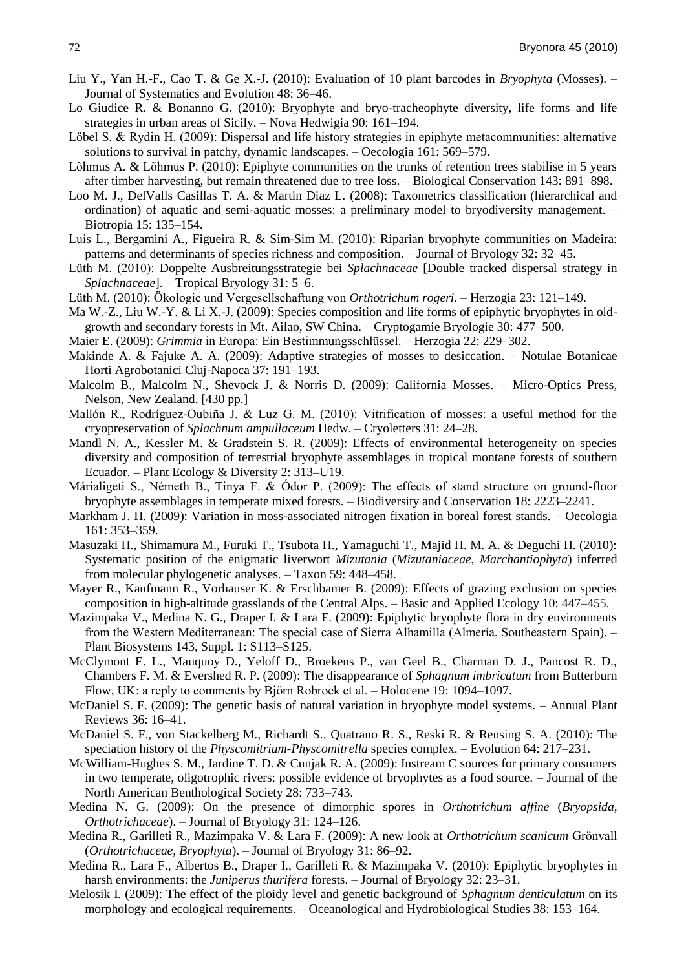- Liu Y., Yan H.-F., Cao T. & Ge X.-J. (2010): Evaluation of 10 plant barcodes in *Bryophyta* (Mosses). Journal of Systematics and Evolution 48: 36–46.
- Lo Giudice R. & Bonanno G. (2010): Bryophyte and bryo-tracheophyte diversity, life forms and life strategies in urban areas of Sicily. – Nova Hedwigia 90: 161–194.
- Löbel S. & Rydin H. (2009): Dispersal and life history strategies in epiphyte metacommunities: alternative solutions to survival in patchy, dynamic landscapes. – Oecologia 161: 569–579.
- Lõhmus A. & Lõhmus P. (2010): Epiphyte communities on the trunks of retention trees stabilise in 5 years after timber harvesting, but remain threatened due to tree loss. – Biological Conservation 143: 891–898.
- Loo M. J., DelValls Casillas T. A. & Martin Diaz L. (2008): Taxometrics classification (hierarchical and ordination) of aquatic and semi-aquatic mosses: a preliminary model to bryodiversity management. – Biotropia 15: 135–154.
- Luìs L., Bergamini A., Figueira R. & Sim-Sim M. (2010): Riparian bryophyte communities on Madeira: patterns and determinants of species richness and composition. – Journal of Bryology 32: 32–45.
- Lüth M. (2010): Doppelte Ausbreitungsstrategie bei *Splachnaceae* [Double tracked dispersal strategy in *Splachnaceae*]. – Tropical Bryology 31: 5–6.
- Lüth M. (2010): Ökologie und Vergesellschaftung von *Orthotrichum rogeri*. Herzogia 23: 121–149.
- Ma W.-Z., Liu W.-Y. & Li X.-J. (2009): Species composition and life forms of epiphytic bryophytes in oldgrowth and secondary forests in Mt. Ailao, SW China. – Cryptogamie Bryologie 30: 477–500.
- Maier E. (2009): *Grimmia* in Europa: Ein Bestimmungsschlüssel. Herzogia 22: 229–302.
- Makinde A. & Fajuke A. A. (2009): Adaptive strategies of mosses to desiccation. Notulae Botanicae Horti Agrobotanici Cluj-Napoca 37: 191–193.
- Malcolm B., Malcolm N., Shevock J. & Norris D. (2009): California Mosses. Micro-Optics Press, Nelson, New Zealand. [430 pp.]
- Mallón R., Rodrìguez-Oubiña J. & Luz G. M. (2010): Vitrification of mosses: a useful method for the cryopreservation of *Splachnum ampullaceum* Hedw. – Cryoletters 31: 24–28.
- Mandl N. A., Kessler M. & Gradstein S. R. (2009): Effects of environmental heterogeneity on species diversity and composition of terrestrial bryophyte assemblages in tropical montane forests of southern Ecuador. – Plant Ecology & Diversity 2: 313–U19.
- Márialigeti S., Németh B., Tinya F. & Ódor P. (2009): The effects of stand structure on ground-floor bryophyte assemblages in temperate mixed forests. – Biodiversity and Conservation 18: 2223–2241.
- Markham J. H. (2009): Variation in moss-associated nitrogen fixation in boreal forest stands. Oecologia 161: 353–359.
- Masuzaki H., Shimamura M., Furuki T., Tsubota H., Yamaguchi T., Majid H. M. A. & Deguchi H. (2010): Systematic position of the enigmatic liverwort *Mizutania* (*Mizutaniaceae*, *Marchantiophyta*) inferred from molecular phylogenetic analyses. – Taxon 59: 448–458.
- Mayer R., Kaufmann R., Vorhauser K. & Erschbamer B. (2009): Effects of grazing exclusion on species composition in high-altitude grasslands of the Central Alps. – Basic and Applied Ecology 10: 447–455.
- Mazimpaka V., Medina N. G., Draper I. & Lara F. (2009): Epiphytic bryophyte flora in dry environments from the Western Mediterranean: The special case of Sierra Alhamilla (Almerìa, Southeastern Spain). – Plant Biosystems 143, Suppl. 1: S113–S125.
- McClymont E. L., Mauquoy D., Yeloff D., Broekens P., van Geel B., Charman D. J., Pancost R. D., Chambers F. M. & Evershed R. P. (2009): The disappearance of *Sphagnum imbricatum* from Butterburn Flow, UK: a reply to comments by Björn Robroek et al. – Holocene 19: 1094–1097.
- McDaniel S. F. (2009): The genetic basis of natural variation in bryophyte model systems. Annual Plant Reviews 36: 16–41.
- McDaniel S. F., von Stackelberg M., Richardt S., Quatrano R. S., Reski R. & Rensing S. A. (2010): The speciation history of the *Physcomitrium-Physcomitrella* species complex. – Evolution 64: 217–231.
- McWilliam-Hughes S. M., Jardine T. D. & Cunjak R. A. (2009): Instream C sources for primary consumers in two temperate, oligotrophic rivers: possible evidence of bryophytes as a food source. – Journal of the North American Benthological Society 28: 733–743.
- Medina N. G. (2009): On the presence of dimorphic spores in *Orthotrichum affine* (*Bryopsida*, *Orthotrichaceae*). – Journal of Bryology 31: 124–126.
- Medina R., Garilleti R., Mazimpaka V. & Lara F. (2009): A new look at *Orthotrichum scanicum* Grönvall (*Orthotrichaceae*, *Bryophyta*). – Journal of Bryology 31: 86–92.
- Medina R., Lara F., Albertos B., Draper I., Garilleti R. & Mazimpaka V. (2010): Epiphytic bryophytes in harsh environments: the *Juniperus thurifera* forests. – Journal of Bryology 32: 23–31.
- Melosik I. (2009): The effect of the ploidy level and genetic background of *Sphagnum denticulatum* on its morphology and ecological requirements. – Oceanological and Hydrobiological Studies 38: 153–164.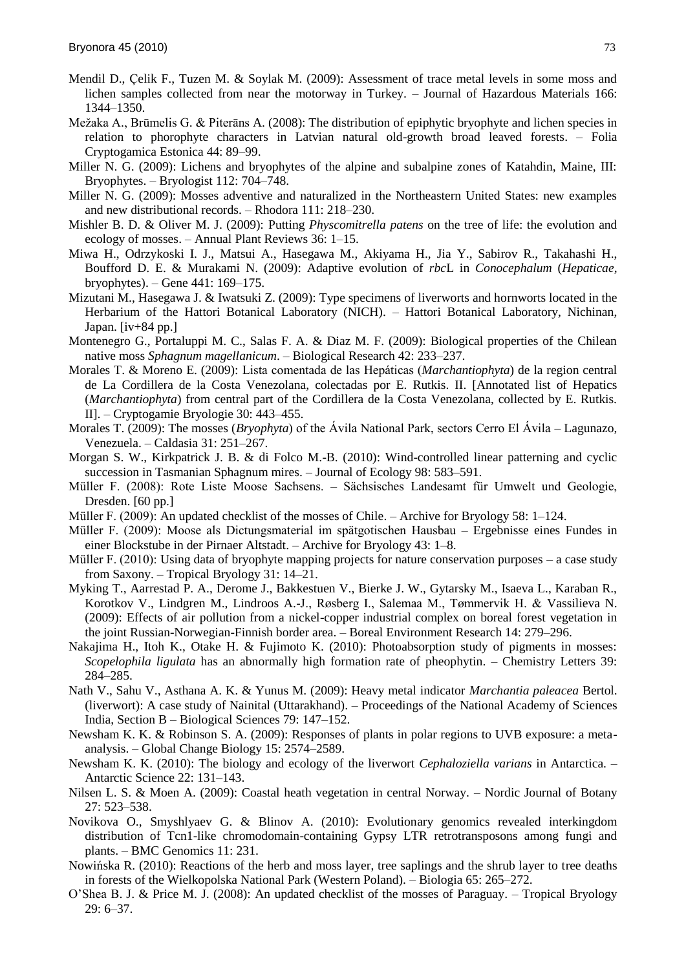- Mendil D., Çelik F., Tuzen M. & Soylak M. (2009): Assessment of trace metal levels in some moss and lichen samples collected from near the motorway in Turkey. – Journal of Hazardous Materials 166: 1344–1350.
- Mežaka A., Brūmelis G. & Piterāns A. (2008): The distribution of epiphytic bryophyte and lichen species in relation to phorophyte characters in Latvian natural old-growth broad leaved forests. – Folia Cryptogamica Estonica 44: 89–99.
- Miller N. G. (2009): Lichens and bryophytes of the alpine and subalpine zones of Katahdin, Maine, III: Bryophytes. – Bryologist 112: 704–748.
- Miller N. G. (2009): Mosses adventive and naturalized in the Northeastern United States: new examples and new distributional records. – Rhodora 111: 218–230.
- Mishler B. D. & Oliver M. J. (2009): Putting *Physcomitrella patens* on the tree of life: the evolution and ecology of mosses. – Annual Plant Reviews 36: 1–15.
- Miwa H., Odrzykoski I. J., Matsui A., Hasegawa M., Akiyama H., Jia Y., Sabirov R., Takahashi H., Boufford D. E. & Murakami N. (2009): Adaptive evolution of *rbc*L in *Conocephalum* (*Hepaticae*, bryophytes). – Gene 441: 169–175.
- Mizutani M., Hasegawa J. & Iwatsuki Z. (2009): Type specimens of liverworts and hornworts located in the Herbarium of the Hattori Botanical Laboratory (NICH). – Hattori Botanical Laboratory, Nichinan, Japan. [iv+84 pp.]
- Montenegro G., Portaluppi M. C., Salas F. A. & Diaz M. F. (2009): Biological properties of the Chilean native moss *Sphagnum magellanicum*. – Biological Research 42: 233–237.
- Morales T. & Moreno E. (2009): Lista comentada de las Hepáticas (*Marchantiophyta*) de la region central de La Cordillera de la Costa Venezolana, colectadas por E. Rutkis. II. [Annotated list of Hepatics (*Marchantiophyta*) from central part of the Cordillera de la Costa Venezolana, collected by E. Rutkis. II]. – Cryptogamie Bryologie 30: 443–455.
- Morales T. (2009): The mosses (*Bryophyta*) of the Ávila National Park, sectors Cerro El Ávila Lagunazo, Venezuela. – Caldasia 31: 251–267.
- Morgan S. W., Kirkpatrick J. B. & di Folco M.-B. (2010): Wind-controlled linear patterning and cyclic succession in Tasmanian Sphagnum mires. – Journal of Ecology 98: 583–591.
- Müller F. (2008): Rote Liste Moose Sachsens. Sächsisches Landesamt für Umwelt und Geologie, Dresden. [60 pp.]
- Müller F. (2009): An updated checklist of the mosses of Chile. Archive for Bryology 58: 1–124.
- Müller F. (2009): Moose als Dictungsmaterial im spätgotischen Hausbau Ergebnisse eines Fundes in einer Blockstube in der Pirnaer Altstadt. – Archive for Bryology 43: 1–8.
- Müller F. (2010): Using data of bryophyte mapping projects for nature conservation purposes a case study from Saxony. – Tropical Bryology 31: 14–21.
- Myking T., Aarrestad P. A., Derome J., Bakkestuen V., Bierke J. W., Gytarsky M., Isaeva L., Karaban R., Korotkov V., Lindgren M., Lindroos A.-J., Røsberg I., Salemaa M., Tømmervik H. & Vassilieva N. (2009): Effects of air pollution from a nickel-copper industrial complex on boreal forest vegetation in the joint Russian-Norwegian-Finnish border area. – Boreal Environment Research 14: 279–296.
- Nakajima H., Itoh K., Otake H. & Fujimoto K. (2010): Photoabsorption study of pigments in mosses: *Scopelophila ligulata* has an abnormally high formation rate of pheophytin. – Chemistry Letters 39: 284–285.
- Nath V., Sahu V., Asthana A. K. & Yunus M. (2009): Heavy metal indicator *Marchantia paleacea* Bertol. (liverwort): A case study of Nainital (Uttarakhand). – Proceedings of the National Academy of Sciences India, Section B – Biological Sciences 79: 147–152.
- Newsham K. K. & Robinson S. A. (2009): Responses of plants in polar regions to UVB exposure: a metaanalysis. – Global Change Biology 15: 2574–2589.
- Newsham K. K. (2010): The biology and ecology of the liverwort *Cephaloziella varians* in Antarctica. Antarctic Science 22: 131–143.
- Nilsen L. S. & Moen A. (2009): Coastal heath vegetation in central Norway. Nordic Journal of Botany 27: 523–538.
- Novikova O., Smyshlyaev G. & Blinov A. (2010): Evolutionary genomics revealed interkingdom distribution of Tcn1-like chromodomain-containing Gypsy LTR retrotransposons among fungi and plants. – BMC Genomics 11: 231.
- Nowińska R. (2010): Reactions of the herb and moss layer, tree saplings and the shrub layer to tree deaths in forests of the Wielkopolska National Park (Western Poland). – Biologia 65: 265–272.
- O'Shea B. J. & Price M. J. (2008): An updated checklist of the mosses of Paraguay. Tropical Bryology 29: 6–37.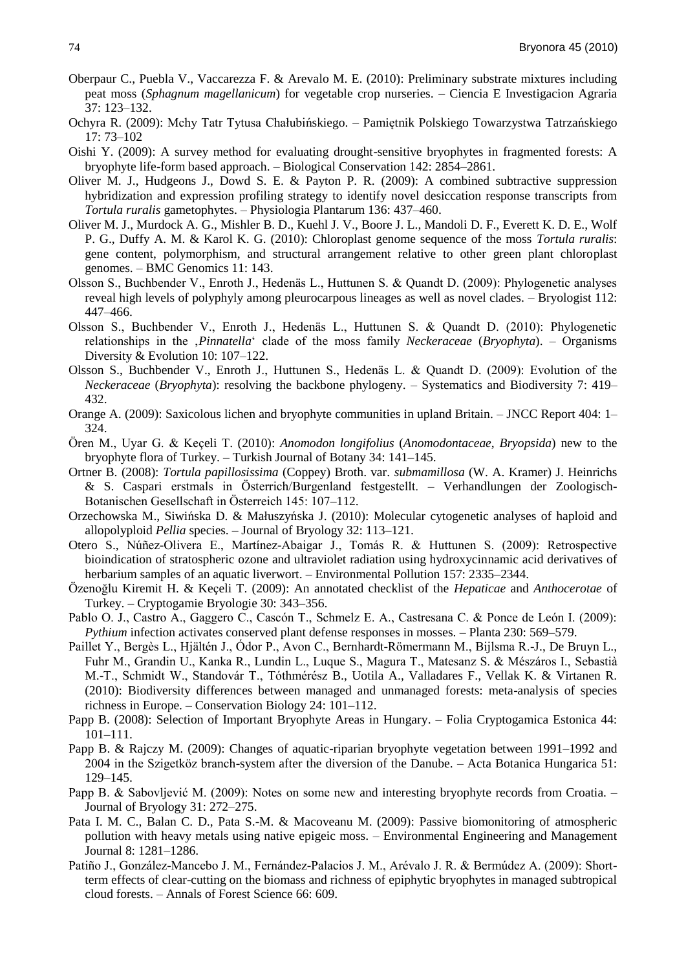- Oberpaur C., Puebla V., Vaccarezza F. & Arevalo M. E. (2010): Preliminary substrate mixtures including peat moss (*Sphagnum magellanicum*) for vegetable crop nurseries. – Ciencia E Investigacion Agraria 37: 123–132.
- Ochyra R. (2009): Mchy Tatr Tytusa Chałubińskiego. Pamiętnik Polskiego Towarzystwa Tatrzańskiego 17: 73–102
- Oishi Y. (2009): A survey method for evaluating drought-sensitive bryophytes in fragmented forests: A bryophyte life-form based approach. – Biological Conservation 142: 2854–2861.
- Oliver M. J., Hudgeons J., Dowd S. E. & Payton P. R. (2009): A combined subtractive suppression hybridization and expression profiling strategy to identify novel desiccation response transcripts from *Tortula ruralis* gametophytes. – Physiologia Plantarum 136: 437–460.
- Oliver M. J., Murdock A. G., Mishler B. D., Kuehl J. V., Boore J. L., Mandoli D. F., Everett K. D. E., Wolf P. G., Duffy A. M. & Karol K. G. (2010): Chloroplast genome sequence of the moss *Tortula ruralis*: gene content, polymorphism, and structural arrangement relative to other green plant chloroplast genomes. – BMC Genomics 11: 143.
- Olsson S., Buchbender V., Enroth J., Hedenäs L., Huttunen S. & Quandt D. (2009): Phylogenetic analyses reveal high levels of polyphyly among pleurocarpous lineages as well as novel clades. – Bryologist 112: 447–466.
- Olsson S., Buchbender V., Enroth J., Hedenäs L., Huttunen S. & Quandt D. (2010): Phylogenetic relationships in the '*Pinnatella*‗ clade of the moss family *Neckeraceae* (*Bryophyta*). – Organisms Diversity & Evolution 10: 107–122.
- Olsson S., Buchbender V., Enroth J., Huttunen S., Hedenäs L. & Quandt D. (2009): Evolution of the *Neckeraceae* (*Bryophyta*): resolving the backbone phylogeny. – Systematics and Biodiversity 7: 419– 432.
- Orange A. (2009): Saxicolous lichen and bryophyte communities in upland Britain. JNCC Report 404: 1– 324.
- Ören M., Uyar G. & Keçeli T. (2010): *Anomodon longifolius* (*Anomodontaceae*, *Bryopsida*) new to the bryophyte flora of Turkey. – Turkish Journal of Botany 34: 141–145.
- Ortner B. (2008): *Tortula papillosissima* (Coppey) Broth. var. *submamillosa* (W. A. Kramer) J. Heinrichs & S. Caspari erstmals in Österrich/Burgenland festgestellt. – Verhandlungen der Zoologisch-Botanischen Gesellschaft in Österreich 145: 107–112.
- Orzechowska M., Siwińska D. & Małuszyńska J. (2010): Molecular cytogenetic analyses of haploid and allopolyploid *Pellia* species. – Journal of Bryology 32: 113–121.
- Otero S., Núñez-Olivera E., Martìnez-Abaigar J., Tomás R. & Huttunen S. (2009): Retrospective bioindication of stratospheric ozone and ultraviolet radiation using hydroxycinnamic acid derivatives of herbarium samples of an aquatic liverwort. – Environmental Pollution 157: 2335–2344.
- Özenoğlu Kiremit H. & Keçeli T. (2009): An annotated checklist of the *Hepaticae* and *Anthocerotae* of Turkey. – Cryptogamie Bryologie 30: 343–356.
- Pablo O. J., Castro A., Gaggero C., Cascón T., Schmelz E. A., Castresana C. & Ponce de León I. (2009): *Pythium* infection activates conserved plant defense responses in mosses. – Planta 230: 569–579.
- Paillet Y., Bergès L., Hjältén J., Ódor P., Avon C., Bernhardt-Römermann M., Bijlsma R.-J., De Bruyn L., Fuhr M., Grandin U., Kanka R., Lundin L., Luque S., Magura T., Matesanz S. & Mészáros I., Sebastià M.-T., Schmidt W., Standovár T., Tóthmérész B., Uotila A., Valladares F., Vellak K. & Virtanen R. (2010): Biodiversity differences between managed and unmanaged forests: meta-analysis of species richness in Europe. – Conservation Biology 24: 101–112.
- Papp B. (2008): Selection of Important Bryophyte Areas in Hungary. Folia Cryptogamica Estonica 44: 101–111.
- Papp B. & Rajczy M. (2009): Changes of aquatic-riparian bryophyte vegetation between 1991–1992 and 2004 in the Szigetköz branch-system after the diversion of the Danube. – Acta Botanica Hungarica 51: 129–145.
- Papp B. & Sabovljević M. (2009): Notes on some new and interesting bryophyte records from Croatia. Journal of Bryology 31: 272–275.
- Pata I. M. C., Balan C. D., Pata S.-M. & Macoveanu M. (2009): Passive biomonitoring of atmospheric pollution with heavy metals using native epigeic moss. – Environmental Engineering and Management Journal 8: 1281–1286.
- Patiño J., González-Mancebo J. M., Fernández-Palacios J. M., Arévalo J. R. & Bermúdez A. (2009): Shortterm effects of clear-cutting on the biomass and richness of epiphytic bryophytes in managed subtropical cloud forests. – Annals of Forest Science 66: 609.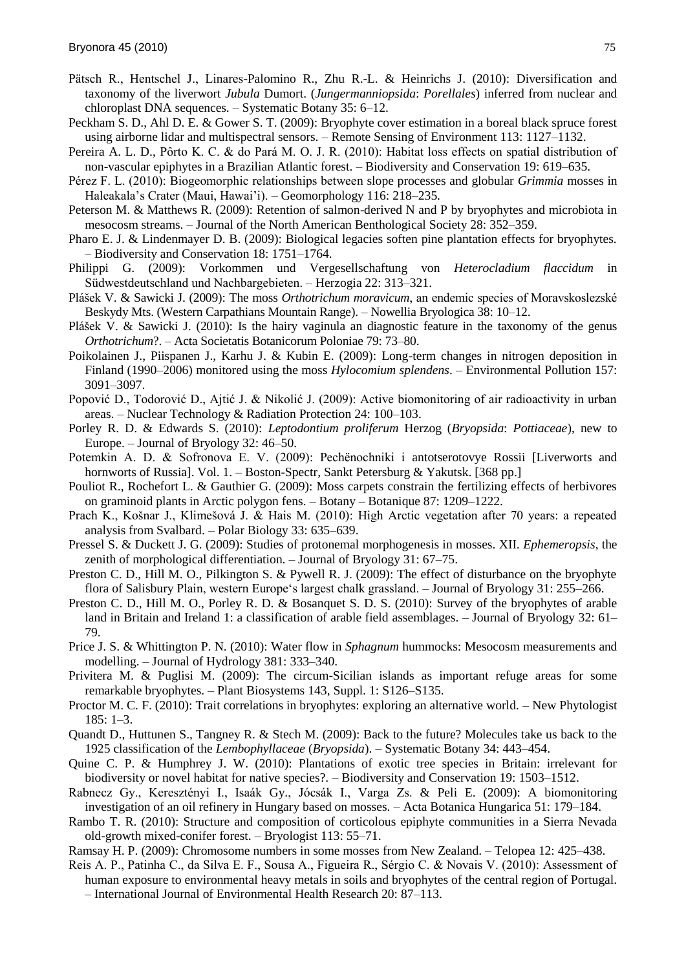- Pätsch R., Hentschel J., Linares-Palomino R., Zhu R.-L. & Heinrichs J. (2010): Diversification and taxonomy of the liverwort *Jubula* Dumort. (*Jungermanniopsida*: *Porellales*) inferred from nuclear and chloroplast DNA sequences. – Systematic Botany 35: 6–12.
- Peckham S. D., Ahl D. E. & Gower S. T. (2009): Bryophyte cover estimation in a boreal black spruce forest using airborne lidar and multispectral sensors. – Remote Sensing of Environment 113: 1127–1132.
- Pereira A. L. D., Pôrto K. C. & do Pará M. O. J. R. (2010): Habitat loss effects on spatial distribution of non-vascular epiphytes in a Brazilian Atlantic forest. – Biodiversity and Conservation 19: 619–635.
- Pérez F. L. (2010): Biogeomorphic relationships between slope processes and globular *Grimmia* mosses in Haleakala's Crater (Maui, Hawai'i). – Geomorphology 116: 218–235.
- Peterson M. & Matthews R. (2009): Retention of salmon-derived N and P by bryophytes and microbiota in mesocosm streams. – Journal of the North American Benthological Society 28: 352–359.
- Pharo E. J. & Lindenmayer D. B. (2009): Biological legacies soften pine plantation effects for bryophytes. – Biodiversity and Conservation 18: 1751–1764.
- Philippi G. (2009): Vorkommen und Vergesellschaftung von *Heterocladium flaccidum* in Südwestdeutschland und Nachbargebieten. – Herzogia 22: 313–321.
- Pláńek V. & Sawicki J. (2009): The moss *Orthotrichum moravicum*, an endemic species of Moravskoslezské Beskydy Mts. (Western Carpathians Mountain Range). – Nowellia Bryologica 38: 10–12.
- Plášek V. & Sawicki J. (2010): Is the hairy vaginula an diagnostic feature in the taxonomy of the genus *Orthotrichum*?. – Acta Societatis Botanicorum Poloniae 79: 73–80.
- Poikolainen J., Piispanen J., Karhu J. & Kubin E. (2009): Long-term changes in nitrogen deposition in Finland (1990–2006) monitored using the moss *Hylocomium splendens*. – Environmental Pollution 157: 3091–3097.
- Popović D., Todorović D., Ajtić J. & Nikolić J. (2009): Active biomonitoring of air radioactivity in urban areas. – Nuclear Technology & Radiation Protection 24: 100–103.
- Porley R. D. & Edwards S. (2010): *Leptodontium proliferum* Herzog (*Bryopsida*: *Pottiaceae*), new to Europe. – Journal of Bryology 32: 46–50.
- Potemkin A. D. & Sofronova E. V. (2009): Pechënochniki i antotserotovye Rossii [Liverworts and hornworts of Russia]. Vol. 1. – Boston-Spectr, Sankt Petersburg & Yakutsk. [368 pp.]
- Pouliot R., Rochefort L. & Gauthier G. (2009): Moss carpets constrain the fertilizing effects of herbivores on graminoid plants in Arctic polygon fens. – Botany – Botanique 87: 1209–1222.
- Prach K., Košnar J., Klimešová J. & Hais M. (2010): High Arctic vegetation after 70 years: a repeated analysis from Svalbard. – Polar Biology 33: 635–639.
- Pressel S. & Duckett J. G. (2009): Studies of protonemal morphogenesis in mosses. XII. *Ephemeropsis*, the zenith of morphological differentiation. – Journal of Bryology 31: 67–75.
- Preston C. D., Hill M. O., Pilkington S. & Pywell R. J. (2009): The effect of disturbance on the bryophyte flora of Salisbury Plain, western Europe's largest chalk grassland. – Journal of Bryology 31: 255–266.
- Preston C. D., Hill M. O., Porley R. D. & Bosanquet S. D. S. (2010): Survey of the bryophytes of arable land in Britain and Ireland 1: a classification of arable field assemblages. – Journal of Bryology 32: 61– 79.
- Price J. S. & Whittington P. N. (2010): Water flow in *Sphagnum* hummocks: Mesocosm measurements and modelling. – Journal of Hydrology 381: 333–340.
- Privitera M. & Puglisi M. (2009): The circum-Sicilian islands as important refuge areas for some remarkable bryophytes. – Plant Biosystems 143, Suppl. 1: S126–S135.
- Proctor M. C. F. (2010): Trait correlations in bryophytes: exploring an alternative world. New Phytologist 185: 1–3.
- Quandt D., Huttunen S., Tangney R. & Stech M. (2009): Back to the future? Molecules take us back to the 1925 classification of the *Lembophyllaceae* (*Bryopsida*). – Systematic Botany 34: 443–454.
- Quine C. P. & Humphrey J. W. (2010): Plantations of exotic tree species in Britain: irrelevant for biodiversity or novel habitat for native species?. – Biodiversity and Conservation 19: 1503–1512.
- Rabnecz Gy., Keresztényi I., Isaák Gy., Jócsák I., Varga Zs. & Peli E. (2009): A biomonitoring investigation of an oil refinery in Hungary based on mosses. – Acta Botanica Hungarica 51: 179–184.
- Rambo T. R. (2010): Structure and composition of corticolous epiphyte communities in a Sierra Nevada old-growth mixed-conifer forest. – Bryologist 113: 55–71.
- Ramsay H. P. (2009): Chromosome numbers in some mosses from New Zealand. Telopea 12: 425–438.
- Reis A. P., Patinha C., da Silva E. F., Sousa A., Figueira R., Sérgio C. & Novais V. (2010): Assessment of human exposure to environmental heavy metals in soils and bryophytes of the central region of Portugal.

– International Journal of Environmental Health Research 20: 87–113.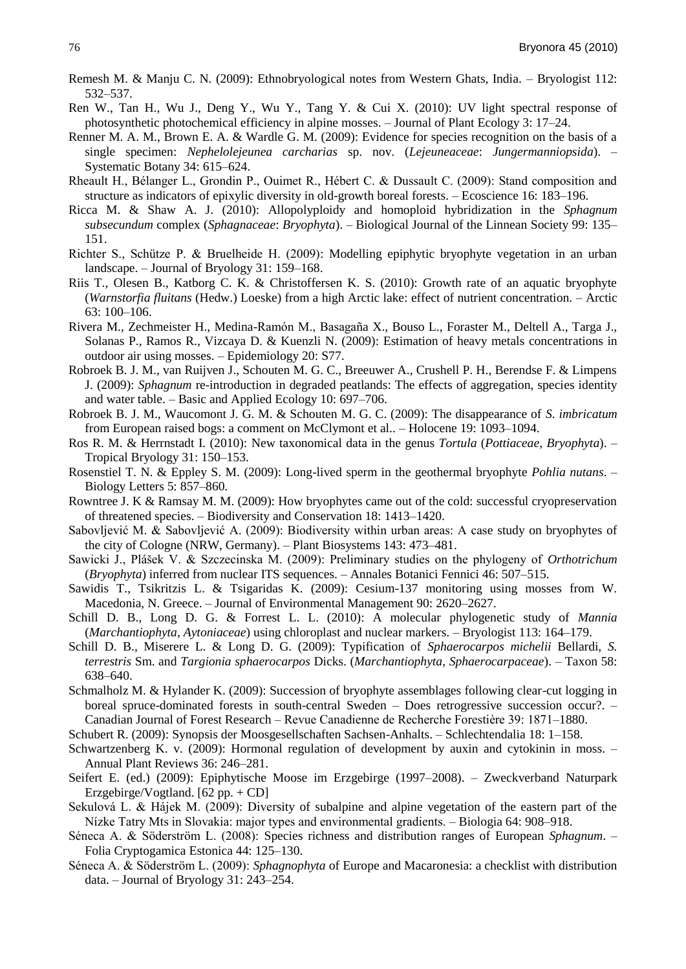- Remesh M. & Manju C. N. (2009): Ethnobryological notes from Western Ghats, India. Bryologist 112: 532–537.
- Ren W., Tan H., Wu J., Deng Y., Wu Y., Tang Y. & Cui X. (2010): UV light spectral response of photosynthetic photochemical efficiency in alpine mosses. – Journal of Plant Ecology 3: 17–24.
- Renner M. A. M., Brown E. A. & Wardle G. M. (2009): Evidence for species recognition on the basis of a single specimen: *Nephelolejeunea carcharias* sp. nov. (*Lejeuneaceae*: *Jungermanniopsida*). – Systematic Botany 34: 615–624.
- Rheault H., Bélanger L., Grondin P., Ouimet R., Hébert C. & Dussault C. (2009): Stand composition and structure as indicators of epixylic diversity in old-growth boreal forests. – Ecoscience 16: 183–196.
- Ricca M. & Shaw A. J. (2010): Allopolyploidy and homoploid hybridization in the *Sphagnum subsecundum* complex (*Sphagnaceae*: *Bryophyta*). – Biological Journal of the Linnean Society 99: 135– 151.
- Richter S., Schütze P. & Bruelheide H. (2009): Modelling epiphytic bryophyte vegetation in an urban landscape. – Journal of Bryology 31: 159–168.
- Riis T., Olesen B., Katborg C. K. & Christoffersen K. S. (2010): Growth rate of an aquatic bryophyte (*Warnstorfia fluitans* (Hedw.) Loeske) from a high Arctic lake: effect of nutrient concentration. – Arctic 63: 100–106.
- Rivera M., Zechmeister H., Medina-Ramón M., Basagaña X., Bouso L., Foraster M., Deltell A., Targa J., Solanas P., Ramos R., Vizcaya D. & Kuenzli N. (2009): Estimation of heavy metals concentrations in outdoor air using mosses. – Epidemiology 20: S77.
- Robroek B. J. M., van Ruijven J., Schouten M. G. C., Breeuwer A., Crushell P. H., Berendse F. & Limpens J. (2009): *Sphagnum* re-introduction in degraded peatlands: The effects of aggregation, species identity and water table. – Basic and Applied Ecology 10: 697–706.
- Robroek B. J. M., Waucomont J. G. M. & Schouten M. G. C. (2009): The disappearance of *S*. *imbricatum* from European raised bogs: a comment on McClymont et al.. – Holocene 19: 1093–1094.
- Ros R. M. & Herrnstadt I. (2010): New taxonomical data in the genus *Tortula* (*Pottiaceae*, *Bryophyta*). Tropical Bryology 31: 150–153.
- Rosenstiel T. N. & Eppley S. M. (2009): Long-lived sperm in the geothermal bryophyte *Pohlia nutans*. Biology Letters 5: 857–860.
- Rowntree J. K & Ramsay M. M. (2009): How bryophytes came out of the cold: successful cryopreservation of threatened species. – Biodiversity and Conservation 18: 1413–1420.
- Sabovljević M. & Sabovljević A. (2009): Biodiversity within urban areas: A case study on bryophytes of the city of Cologne (NRW, Germany). – Plant Biosystems 143: 473–481.
- Sawicki J., Plášek V. & Szczecinska M. (2009): Preliminary studies on the phylogeny of *Orthotrichum* (*Bryophyta*) inferred from nuclear ITS sequences. – Annales Botanici Fennici 46: 507–515.
- Sawidis T., Tsikritzis L. & Tsigaridas K. (2009): Cesium-137 monitoring using mosses from W. Macedonia, N. Greece. – Journal of Environmental Management 90: 2620–2627.
- Schill D. B., Long D. G. & Forrest L. L. (2010): A molecular phylogenetic study of *Mannia* (*Marchantiophyta*, *Aytoniaceae*) using chloroplast and nuclear markers. – Bryologist 113: 164–179.
- Schill D. B., Miserere L. & Long D. G. (2009): Typification of *Sphaerocarpos michelii* Bellardi, *S. terrestris* Sm. and *Targionia sphaerocarpos* Dicks. (*Marchantiophyta*, *Sphaerocarpaceae*). – Taxon 58: 638–640.
- Schmalholz M. & Hylander K. (2009): Succession of bryophyte assemblages following clear-cut logging in boreal spruce-dominated forests in south-central Sweden – Does retrogressive succession occur?. – Canadian Journal of Forest Research – Revue Canadienne de Recherche Forestière 39: 1871–1880.

Schubert R. (2009): Synopsis der Moosgesellschaften Sachsen-Anhalts. – Schlechtendalia 18: 1–158.

- Schwartzenberg K. v. (2009): Hormonal regulation of development by auxin and cytokinin in moss. Annual Plant Reviews 36: 246–281.
- Seifert E. (ed.) (2009): Epiphytische Moose im Erzgebirge (1997–2008). Zweckverband Naturpark Erzgebirge/Vogtland. [62 pp. + CD]
- Sekulová L. & Hájek M. (2009): Diversity of subalpine and alpine vegetation of the eastern part of the Nìzke Tatry Mts in Slovakia: major types and environmental gradients. – Biologia 64: 908–918.
- Séneca A. & Söderström L. (2008): Species richness and distribution ranges of European *Sphagnum*. Folia Cryptogamica Estonica 44: 125–130.
- Séneca A. & Söderström L. (2009): *Sphagnophyta* of Europe and Macaronesia: a checklist with distribution data. – Journal of Bryology 31: 243–254.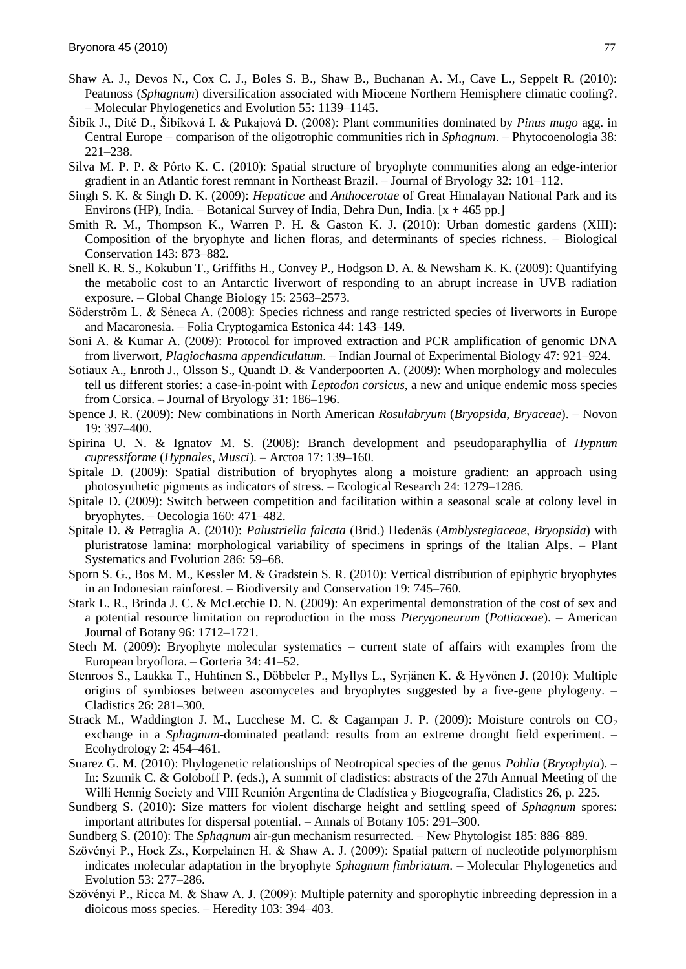- Shaw A. J., Devos N., Cox C. J., Boles S. B., Shaw B., Buchanan A. M., Cave L., Seppelt R. (2010): Peatmoss (*Sphagnum*) diversification associated with Miocene Northern Hemisphere climatic cooling?. – Molecular Phylogenetics and Evolution 55: 1139–1145.
- Ńibìk J., Dìtě D., Ńibìková I. & Pukajová D. (2008): Plant communities dominated by *Pinus mugo* agg. in Central Europe – comparison of the oligotrophic communities rich in *Sphagnum*. – Phytocoenologia 38: 221–238.
- Silva M. P. P. & Pôrto K. C. (2010): Spatial structure of bryophyte communities along an edge-interior gradient in an Atlantic forest remnant in Northeast Brazil. – Journal of Bryology 32: 101–112.
- Singh S. K. & Singh D. K. (2009): *Hepaticae* and *Anthocerotae* of Great Himalayan National Park and its Environs (HP), India. – Botanical Survey of India, Dehra Dun, India.  $[x + 465 \text{ pp.}]$
- Smith R. M., Thompson K., Warren P. H. & Gaston K. J. (2010): Urban domestic gardens (XIII): Composition of the bryophyte and lichen floras, and determinants of species richness. – Biological Conservation 143: 873–882.
- Snell K. R. S., Kokubun T., Griffiths H., Convey P., Hodgson D. A. & Newsham K. K. (2009): Quantifying the metabolic cost to an Antarctic liverwort of responding to an abrupt increase in UVB radiation exposure. – Global Change Biology 15: 2563–2573.
- Söderström L. & Séneca A. (2008): Species richness and range restricted species of liverworts in Europe and Macaronesia. – Folia Cryptogamica Estonica 44: 143–149.
- Soni A. & Kumar A. (2009): Protocol for improved extraction and PCR amplification of genomic DNA from liverwort, *Plagiochasma appendiculatum*. – Indian Journal of Experimental Biology 47: 921–924.
- Sotiaux A., Enroth J., Olsson S., Quandt D. & Vanderpoorten A. (2009): When morphology and molecules tell us different stories: a case-in-point with *Leptodon corsicus*, a new and unique endemic moss species from Corsica. – Journal of Bryology 31: 186–196.
- Spence J. R. (2009): New combinations in North American *Rosulabryum* (*Bryopsida*, *Bryaceae*). Novon 19: 397–400.
- Spirina U. N. & Ignatov M. S. (2008): Branch development and pseudoparaphyllia of *Hypnum cupressiforme* (*Hypnales*, *Musci*). – Arctoa 17: 139–160.
- Spitale D. (2009): Spatial distribution of bryophytes along a moisture gradient: an approach using photosynthetic pigments as indicators of stress. – Ecological Research 24: 1279–1286.
- Spitale D. (2009): Switch between competition and facilitation within a seasonal scale at colony level in bryophytes. – Oecologia 160: 471–482.
- Spitale D. & Petraglia A. (2010): *Palustriella falcata* (Brid.) Hedenäs (*Amblystegiaceae*, *Bryopsida*) with pluristratose lamina: morphological variability of specimens in springs of the Italian Alps. – Plant Systematics and Evolution 286: 59–68.
- Sporn S. G., Bos M. M., Kessler M. & Gradstein S. R. (2010): Vertical distribution of epiphytic bryophytes in an Indonesian rainforest. – Biodiversity and Conservation 19: 745–760.
- Stark L. R., Brinda J. C. & McLetchie D. N. (2009): An experimental demonstration of the cost of sex and a potential resource limitation on reproduction in the moss *Pterygoneurum* (*Pottiaceae*). – American Journal of Botany 96: 1712–1721.
- Stech M. (2009): Bryophyte molecular systematics current state of affairs with examples from the European bryoflora. – Gorteria 34: 41–52.
- Stenroos S., Laukka T., Huhtinen S., Döbbeler P., Myllys L., Syrjänen K. & Hyvönen J. (2010): Multiple origins of symbioses between ascomycetes and bryophytes suggested by a five-gene phylogeny. – Cladistics 26: 281–300.
- Strack M., Waddington J. M., Lucchese M. C. & Cagampan J. P. (2009): Moisture controls on  $CO<sub>2</sub>$ exchange in a *Sphagnum*-dominated peatland: results from an extreme drought field experiment. – Ecohydrology 2: 454–461.
- Suarez G. M. (2010): Phylogenetic relationships of Neotropical species of the genus *Pohlia* (*Bryophyta*). In: Szumik C. & Goloboff P. (eds.), A summit of cladistics: abstracts of the 27th Annual Meeting of the Willi Hennig Society and VIII Reunión Argentina de Cladìstica y Biogeografìa, Cladistics 26, p. 225.
- Sundberg S. (2010): Size matters for violent discharge height and settling speed of *Sphagnum* spores: important attributes for dispersal potential. – Annals of Botany 105: 291–300.
- Sundberg S. (2010): The *Sphagnum* air-gun mechanism resurrected. New Phytologist 185: 886–889.
- Szövényi P., Hock Zs., Korpelainen H. & Shaw A. J. (2009): Spatial pattern of nucleotide polymorphism indicates molecular adaptation in the bryophyte *Sphagnum fimbriatum*. – Molecular Phylogenetics and Evolution 53: 277–286.
- Szövényi P., Ricca M. & Shaw A. J. (2009): Multiple paternity and sporophytic inbreeding depression in a dioicous moss species. – Heredity 103: 394–403.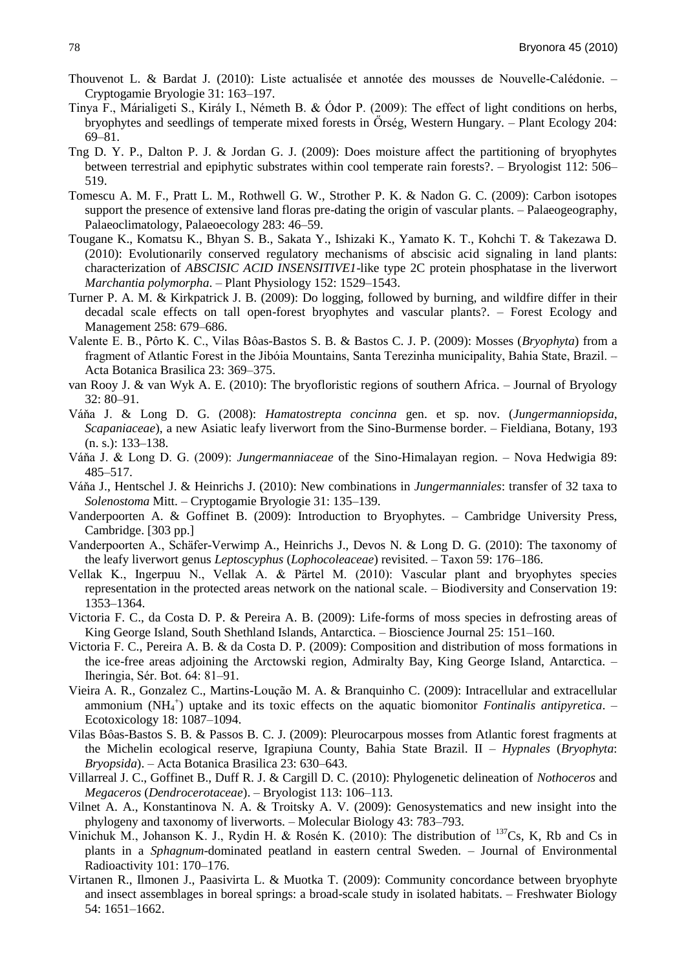- Thouvenot L. & Bardat J. (2010): Liste actualisée et annotée des mousses de Nouvelle-Calédonie. Cryptogamie Bryologie 31: 163–197.
- Tinya F., Márialigeti S., Király I., Németh B. & Ódor P. (2009): The effect of light conditions on herbs, bryophytes and seedlings of temperate mixed forests in Örség, Western Hungary. – Plant Ecology 204: 69–81.
- Tng D. Y. P., Dalton P. J. & Jordan G. J. (2009): Does moisture affect the partitioning of bryophytes between terrestrial and epiphytic substrates within cool temperate rain forests?. – Bryologist 112: 506– 519.
- Tomescu A. M. F., Pratt L. M., Rothwell G. W., Strother P. K. & Nadon G. C. (2009): Carbon isotopes support the presence of extensive land floras pre-dating the origin of vascular plants. – Palaeogeography, Palaeoclimatology, Palaeoecology 283: 46–59.
- Tougane K., Komatsu K., Bhyan S. B., Sakata Y., Ishizaki K., Yamato K. T., Kohchi T. & Takezawa D. (2010): Evolutionarily conserved regulatory mechanisms of abscisic acid signaling in land plants: characterization of *ABSCISIC ACID INSENSITIVE1*-like type 2C protein phosphatase in the liverwort *Marchantia polymorpha*. – Plant Physiology 152: 1529–1543.
- Turner P. A. M. & Kirkpatrick J. B. (2009): Do logging, followed by burning, and wildfire differ in their decadal scale effects on tall open-forest bryophytes and vascular plants?. – Forest Ecology and Management 258: 679–686.
- Valente E. B., Pôrto K. C., Vilas Bôas-Bastos S. B. & Bastos C. J. P. (2009): Mosses (*Bryophyta*) from a fragment of Atlantic Forest in the Jibóia Mountains, Santa Terezinha municipality, Bahia State, Brazil. – Acta Botanica Brasilica 23: 369–375.
- van Rooy J. & van Wyk A. E. (2010): The bryofloristic regions of southern Africa. Journal of Bryology 32: 80–91.
- Váňa J. & Long D. G. (2008): *Hamatostrepta concinna* gen. et sp. nov. (*Jungermanniopsida*, *Scapaniaceae*), a new Asiatic leafy liverwort from the Sino-Burmense border. – Fieldiana, Botany, 193 (n. s.): 133–138.
- Váňa J. & Long D. G. (2009): *Jungermanniaceae* of the Sino-Himalayan region. Nova Hedwigia 89: 485–517.
- Váňa J., Hentschel J. & Heinrichs J. (2010): New combinations in *Jungermanniales*: transfer of 32 taxa to *Solenostoma* Mitt. – Cryptogamie Bryologie 31: 135–139.
- Vanderpoorten A. & Goffinet B. (2009): Introduction to Bryophytes. Cambridge University Press, Cambridge. [303 pp.]
- Vanderpoorten A., Schäfer-Verwimp A., Heinrichs J., Devos N. & Long D. G. (2010): The taxonomy of the leafy liverwort genus *Leptoscyphus* (*Lophocoleaceae*) revisited. – Taxon 59: 176–186.
- Vellak K., Ingerpuu N., Vellak A. & Pärtel M. (2010): Vascular plant and bryophytes species representation in the protected areas network on the national scale. – Biodiversity and Conservation 19: 1353–1364.
- Victoria F. C., da Costa D. P. & Pereira A. B. (2009): Life-forms of moss species in defrosting areas of King George Island, South Shethland Islands, Antarctica. – Bioscience Journal 25: 151–160.
- Victoria F. C., Pereira A. B. & da Costa D. P. (2009): Composition and distribution of moss formations in the ice-free areas adjoining the Arctowski region, Admiralty Bay, King George Island, Antarctica. – Iheringia, Sér. Bot. 64: 81–91.
- Vieira A. R., Gonzalez C., Martins-Loução M. A. & Branquinho C. (2009): Intracellular and extracellular ammonium (NH<sub>4</sub><sup>+</sup>) uptake and its toxic effects on the aquatic biomonitor *Fontinalis antipyretica*. – Ecotoxicology 18: 1087–1094.
- Vilas Bôas-Bastos S. B. & Passos B. C. J. (2009): Pleurocarpous mosses from Atlantic forest fragments at the Michelin ecological reserve, Igrapiuna County, Bahia State Brazil. II – *Hypnales* (*Bryophyta*: *Bryopsida*). – Acta Botanica Brasilica 23: 630–643.
- Villarreal J. C., Goffinet B., Duff R. J. & Cargill D. C. (2010): Phylogenetic delineation of *Nothoceros* and *Megaceros* (*Dendrocerotaceae*). – Bryologist 113: 106–113.
- Vilnet A. A., Konstantinova N. A. & Troitsky A. V. (2009): Genosystematics and new insight into the phylogeny and taxonomy of liverworts. – Molecular Biology 43: 783–793.
- Vinichuk M., Johanson K. J., Rydin H. & Rosén K. (2010): The distribution of <sup>137</sup>Cs, K, Rb and Cs in plants in a *Sphagnum*-dominated peatland in eastern central Sweden. – Journal of Environmental Radioactivity 101: 170–176.
- Virtanen R., Ilmonen J., Paasivirta L. & Muotka T. (2009): Community concordance between bryophyte and insect assemblages in boreal springs: a broad-scale study in isolated habitats. – Freshwater Biology 54: 1651–1662.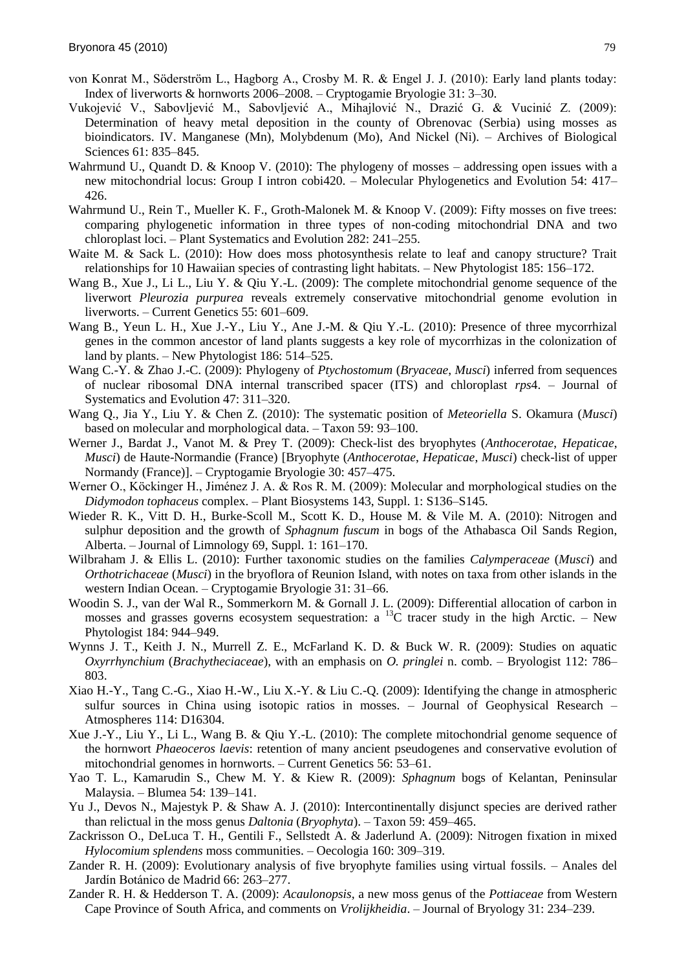- von Konrat M., Söderström L., Hagborg A., Crosby M. R. & Engel J. J. (2010): Early land plants today: Index of liverworts & hornworts 2006–2008. – Cryptogamie Bryologie 31: 3–30.
- Vukojević V., Sabovljević M., Sabovljević A., Mihajlović N., Drazić G. & Vucinić Z. (2009): Determination of heavy metal deposition in the county of Obrenovac (Serbia) using mosses as bioindicators. IV. Manganese (Mn), Molybdenum (Mo), And Nickel (Ni). – Archives of Biological Sciences 61: 835–845.
- Wahrmund U., Quandt D. & Knoop V. (2010): The phylogeny of mosses addressing open issues with a new mitochondrial locus: Group I intron cobi420. – Molecular Phylogenetics and Evolution 54: 417– 426.
- Wahrmund U., Rein T., Mueller K. F., Groth-Malonek M. & Knoop V. (2009): Fifty mosses on five trees: comparing phylogenetic information in three types of non-coding mitochondrial DNA and two chloroplast loci. – Plant Systematics and Evolution 282: 241–255.
- Waite M. & Sack L. (2010): How does moss photosynthesis relate to leaf and canopy structure? Trait relationships for 10 Hawaiian species of contrasting light habitats. – New Phytologist 185: 156–172.
- Wang B., Xue J., Li L., Liu Y. & Qiu Y.-L. (2009): The complete mitochondrial genome sequence of the liverwort *Pleurozia purpurea* reveals extremely conservative mitochondrial genome evolution in liverworts. – Current Genetics 55: 601–609.
- Wang B., Yeun L. H., Xue J.-Y., Liu Y., Ane J.-M. & Qiu Y.-L. (2010): Presence of three mycorrhizal genes in the common ancestor of land plants suggests a key role of mycorrhizas in the colonization of land by plants. – New Phytologist 186: 514–525.
- Wang C.-Y. & Zhao J.-C. (2009): Phylogeny of *Ptychostomum* (*Bryaceae*, *Musci*) inferred from sequences of nuclear ribosomal DNA internal transcribed spacer (ITS) and chloroplast *rps*4. – Journal of Systematics and Evolution 47: 311–320.
- Wang Q., Jia Y., Liu Y. & Chen Z. (2010): The systematic position of *Meteoriella* S. Okamura (*Musci*) based on molecular and morphological data. – Taxon 59: 93–100.
- Werner J., Bardat J., Vanot M. & Prey T. (2009): Check-list des bryophytes (*Anthocerotae*, *Hepaticae*, *Musci*) de Haute-Normandie (France) [Bryophyte (*Anthocerotae*, *Hepaticae*, *Musci*) check-list of upper Normandy (France)]. – Cryptogamie Bryologie 30: 457–475.
- Werner O., Köckinger H., Jiménez J. A. & Ros R. M. (2009): Molecular and morphological studies on the *Didymodon tophaceus* complex. – Plant Biosystems 143, Suppl. 1: S136–S145.
- Wieder R. K., Vitt D. H., Burke-Scoll M., Scott K. D., House M. & Vile M. A. (2010): Nitrogen and sulphur deposition and the growth of *Sphagnum fuscum* in bogs of the Athabasca Oil Sands Region, Alberta. – Journal of Limnology 69, Suppl. 1: 161–170.
- Wilbraham J. & Ellis L. (2010): Further taxonomic studies on the families *Calymperaceae* (*Musci*) and *Orthotrichaceae* (*Musci*) in the bryoflora of Reunion Island, with notes on taxa from other islands in the western Indian Ocean. – Cryptogamie Bryologie 31: 31–66.
- Woodin S. J., van der Wal R., Sommerkorn M. & Gornall J. L. (2009): Differential allocation of carbon in mosses and grasses governs ecosystem sequestration: a <sup>13</sup>C tracer study in the high Arctic. – New Phytologist 184: 944–949.
- Wynns J. T., Keith J. N., Murrell Z. E., McFarland K. D. & Buck W. R. (2009): Studies on aquatic *Oxyrrhynchium* (*Brachytheciaceae*), with an emphasis on *O. pringlei* n. comb. – Bryologist 112: 786– 803.
- Xiao H.-Y., Tang C.-G., Xiao H.-W., Liu X.-Y. & Liu C.-Q. (2009): Identifying the change in atmospheric sulfur sources in China using isotopic ratios in mosses. – Journal of Geophysical Research – Atmospheres 114: D16304.
- Xue J.-Y., Liu Y., Li L., Wang B. & Qiu Y.-L. (2010): The complete mitochondrial genome sequence of the hornwort *Phaeoceros laevis*: retention of many ancient pseudogenes and conservative evolution of mitochondrial genomes in hornworts. – Current Genetics 56: 53–61.
- Yao T. L., Kamarudin S., Chew M. Y. & Kiew R. (2009): *Sphagnum* bogs of Kelantan, Peninsular Malaysia. – Blumea 54: 139–141.
- Yu J., Devos N., Majestyk P. & Shaw A. J. (2010): Intercontinentally disjunct species are derived rather than relictual in the moss genus *Daltonia* (*Bryophyta*). – Taxon 59: 459–465.
- Zackrisson O., DeLuca T. H., Gentili F., Sellstedt A. & Jaderlund A. (2009): Nitrogen fixation in mixed *Hylocomium splendens* moss communities. – Oecologia 160: 309–319.
- Zander R. H. (2009): Evolutionary analysis of five bryophyte families using virtual fossils. Anales del Jardín Botánico de Madrid 66: 263-277.
- Zander R. H. & Hedderson T. A. (2009): *Acaulonopsis*, a new moss genus of the *Pottiaceae* from Western Cape Province of South Africa, and comments on *Vrolijkheidia*. – Journal of Bryology 31: 234–239.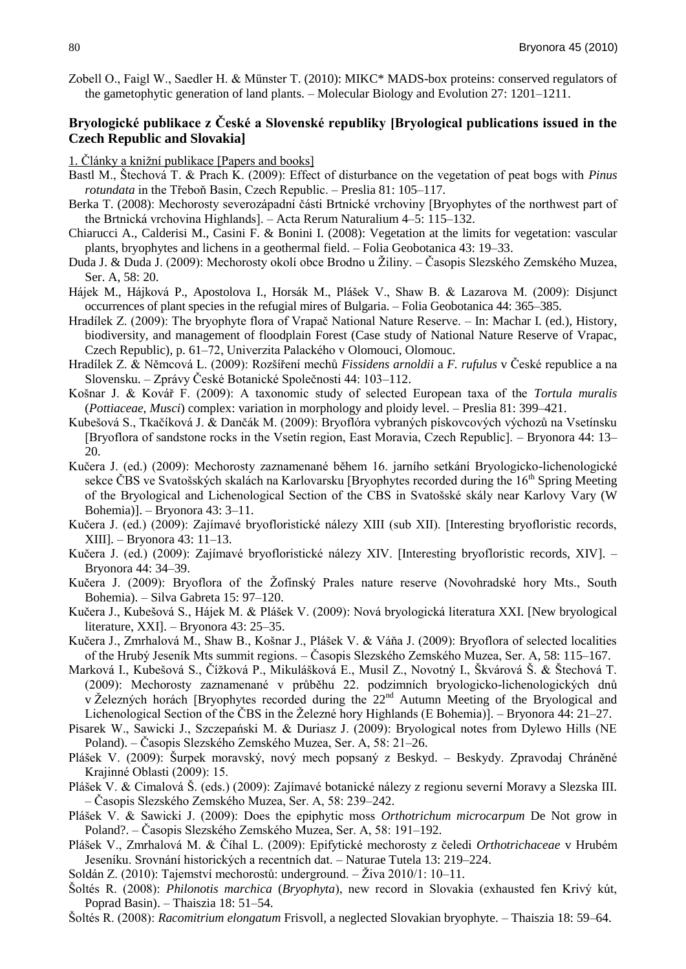Zobell O., Faigl W., Saedler H. & Münster T. (2010): MIKC\* MADS-box proteins: conserved regulators of the gametophytic generation of land plants. – Molecular Biology and Evolution 27: 1201–1211.

## **Bryologické publikace z České a Slovenské republiky [Bryological publications issued in the Czech Republic and Slovakia]**

1. Články a knižní publikace [Papers and books]

- Bastl M., Ńtechová T. & Prach K. (2009): Effect of disturbance on the vegetation of peat bogs with *Pinus rotundata* in the Třeboň Basin, Czech Republic. – Preslia 81: 105–117.
- Berka T. (2008): Mechorosty severozápadnì části Brtnické vrchoviny [Bryophytes of the northwest part of the Brtnická vrchovina Highlands]. – Acta Rerum Naturalium 4–5: 115–132.
- Chiarucci A., Calderisi M., Casini F. & Bonini I. (2008): Vegetation at the limits for vegetation: vascular plants, bryophytes and lichens in a geothermal field. – Folia Geobotanica 43: 19–33.
- Duda J. & Duda J. (2009): Mechorosty okolí obce Brodno u Žiliny. Časopis Slezského Zemského Muzea, Ser. A, 58: 20.
- Hájek M., Hájková P., Apostolova I., Horsák M., Plášek V., Shaw B. & Lazarova M. (2009): Disjunct occurrences of plant species in the refugial mires of Bulgaria. – Folia Geobotanica 44: 365–385.
- Hradìlek Z. (2009): The bryophyte flora of Vrapač National Nature Reserve. In: Machar I. (ed.), History, biodiversity, and management of floodplain Forest (Case study of National Nature Reserve of Vrapac, Czech Republic), p. 61–72, Univerzita Palackého v Olomouci, Olomouc.
- Hradìlek Z. & Němcová L. (2009): Rozńìřenì mechů *Fissidens arnoldii* a *F. rufulus* v České republice a na Slovensku. – Zprávy České Botanické Společnosti 44: 103–112.
- Końnar J. & Kovář F. (2009): A taxonomic study of selected European taxa of the *Tortula muralis* (*Pottiaceae*, *Musci*) complex: variation in morphology and ploidy level. – Preslia 81: 399–421.
- Kubešová S., Tkačíková J. & Dančák M. (2009): Bryoflóra vybraných pískovcových výchozů na Vsetínsku [Bryoflora of sandstone rocks in the Vsetìn region, East Moravia, Czech Republic]. – Bryonora 44: 13– 20.
- Kučera J. (ed.) (2009): Mechorosty zaznamenané během 16. jarnìho setkánì Bryologicko-lichenologické sekce ČBS ve Svatošských skalách na Karlovarsku [Bryophytes recorded during the 16<sup>th</sup> Spring Meeting of the Bryological and Lichenological Section of the CBS in Svatošské skály near Karlovy Vary (W Bohemia)]. – Bryonora 43: 3–11.
- Kučera J. (ed.) (2009): Zajìmavé bryofloristické nálezy XIII (sub XII). [Interesting bryofloristic records, XIII]. – Bryonora 43: 11–13.
- Kučera J. (ed.) (2009): Zajìmavé bryofloristické nálezy XIV. [Interesting bryofloristic records, XIV]. Bryonora 44: 34–39.
- Kučera J. (2009): Bryoflora of the Žofínský Prales nature reserve (Novohradské hory Mts., South Bohemia). – Silva Gabreta 15: 97–120.
- Kučera J., Kubešová S., Hájek M. & Plášek V. (2009): Nová bryologická literatura XXI. [New bryological literature, XXI]. – Bryonora 43: 25–35.
- Kučera J., Zmrhalová M., Shaw B., Košnar J., Plášek V. & Váňa J. (2009): Bryoflora of selected localities of the Hrubý Jesenìk Mts summit regions. – Časopis Slezského Zemského Muzea, Ser. A, 58: 115–167.
- Marková I., Kubešová S., Čížková P., Mikulášková E., Musil Z., Novotný I., Škvárová Š. & Štechová T. (2009): Mechorosty zaznamenané v průběhu 22. podzimnìch bryologicko-lichenologických dnů v Železných horách [Bryophytes recorded during the  $22<sup>nd</sup>$  Autumn Meeting of the Bryological and Lichenological Section of the ČBS in the Železné hory Highlands (E Bohemia)]. – Bryonora 44: 21–27.
- Pisarek W., Sawicki J., Szczepański M. & Duriasz J. (2009): Bryological notes from Dylewo Hills (NE Poland). – Časopis Slezského Zemského Muzea, Ser. A, 58: 21–26.
- Pláńek V. (2009): Ńurpek moravský, nový mech popsaný z Beskyd. Beskydy. Zpravodaj Chráněné Krajinné Oblasti (2009): 15.
- Plášek V. & Cimalová Š. (eds.) (2009): Zajímavé botanické nálezy z regionu severní Moravy a Slezska III. – Časopis Slezského Zemského Muzea, Ser. A, 58: 239–242.
- Pláńek V. & Sawicki J. (2009): Does the epiphytic moss *Orthotrichum microcarpum* De Not grow in Poland?. – Časopis Slezského Zemského Muzea, Ser. A, 58: 191–192.
- Pláńek V., Zmrhalová M. & Čìhal L. (2009): Epifytické mechorosty z čeledi *Orthotrichaceae* v Hrubém Jesenìku. Srovnánì historických a recentnìch dat. – Naturae Tutela 13: 219–224.
- Soldán Z. (2010): Tajemství mechorostů: underground. Živa  $2010/1: 10-11$ .
- Ńoltés R. (2008): *Philonotis marchica* (*Bryophyta*), new record in Slovakia (exhausted fen Krivý kút, Poprad Basin). – Thaiszia 18: 51–54.
- Ńoltés R. (2008): *Racomitrium elongatum* Frisvoll, a neglected Slovakian bryophyte. Thaiszia 18: 59–64.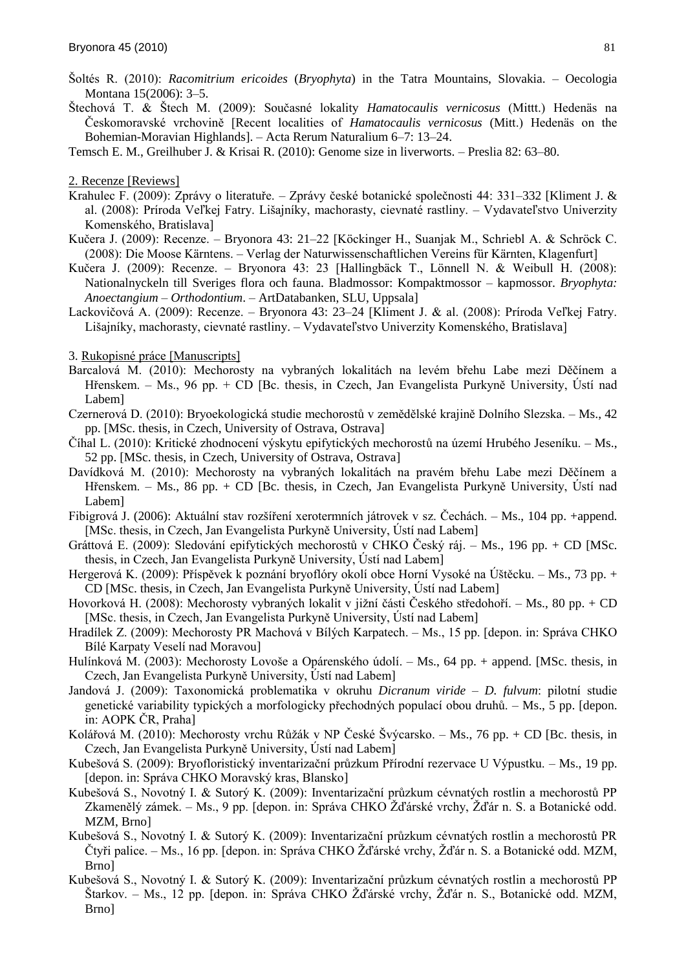- Ńoltés R. (2010): *Racomitrium ericoides* (*Bryophyta*) in the Tatra Mountains, Slovakia. Oecologia Montana 15(2006): 3–5.
- Ńtechová T. & Ńtech M. (2009): Současné lokality *Hamatocaulis vernicosus* (Mittt.) Hedenäs na Českomoravské vrchovině [Recent localities of *Hamatocaulis vernicosus* (Mitt.) Hedenäs on the Bohemian-Moravian Highlands]. – Acta Rerum Naturalium 6–7: 13–24.
- Temsch E. M., Greilhuber J. & Krisai R. (2010): Genome size in liverworts. Preslia 82: 63–80.

2. Recenze [Reviews]

- Krahulec F. (2009): Zprávy o literatuře. Zprávy české botanické společnosti 44: 331–332 [Kliment J. & al. (2008): Príroda Veľkej Fatry. Lišajníky, machorasty, cievnaté rastliny. – Vydavateľstvo Univerzity Komenského, Bratislava]
- Kučera J. (2009): Recenze. Bryonora 43: 21–22 [Köckinger H., Suanjak M., Schriebl A. & Schröck C. (2008): Die Moose Kärntens. – Verlag der Naturwissenschaftlichen Vereins für Kärnten, Klagenfurt]
- Kučera J. (2009): Recenze. Bryonora 43: 23 [Hallingbäck T., Lönnell N. & Weibull H. (2008): Nationalnyckeln till Sveriges flora och fauna. Bladmossor: Kompaktmossor – kapmossor. *Bryophyta: Anoectangium – Orthodontium*. – ArtDatabanken, SLU, Uppsala]
- Lackovičová A. (2009): Recenze. Bryonora 43: 23–24 [Kliment J. & al. (2008): Prìroda Veľkej Fatry. Lišajníky, machorasty, cievnaté rastliny. – Vydavateľstvo Univerzity Komenského, Bratislava]

3. Rukopisné práce [Manuscripts]

- Barcalová M. (2010): Mechorosty na vybraných lokalitách na levém břehu Labe mezi Děčìnem a Hřenskem. – Ms., 96 pp. + CD [Bc. thesis, in Czech, Jan Evangelista Purkyně University, Ústì nad Labem]
- Czernerová D. (2010): Bryoekologická studie mechorostů v zemědělské krajině Dolnìho Slezska. Ms., 42 pp. [MSc. thesis, in Czech, University of Ostrava, Ostrava]
- Čìhal L. (2010): Kritické zhodnocenì výskytu epifytických mechorostů na územì Hrubého Jesenìku. Ms., 52 pp. [MSc. thesis, in Czech, University of Ostrava, Ostrava]
- Davìdková M. (2010): Mechorosty na vybraných lokalitách na pravém břehu Labe mezi Děčìnem a Hřenskem. – Ms., 86 pp. + CD [Bc. thesis, in Czech, Jan Evangelista Purkyně University, Ústì nad Labem]
- Fibigrová J. (2006): Aktuální stav rozšíření xerotermních játrovek v sz. Čechách. Ms., 104 pp. +append. [MSc. thesis, in Czech, Jan Evangelista Purkyně University, Ústì nad Labem]
- Gráttová E. (2009): Sledovánì epifytických mechorostů v CHKO Český ráj. Ms., 196 pp. + CD [MSc. thesis, in Czech, Jan Evangelista Purkyně University, Ústì nad Labem]
- Hergerová K. (2009): Přìspěvek k poznánì bryoflóry okolì obce Hornì Vysoké na Úńtěcku. Ms., 73 pp. + CD [MSc. thesis, in Czech, Jan Evangelista Purkyně University, Ústì nad Labem]
- Hovorková H. (2008): Mechorosty vybraných lokalit v jižní části Českého středohoří. Ms., 80 pp. + CD [MSc. thesis, in Czech, Jan Evangelista Purkyně University, Ústì nad Labem]
- Hradìlek Z. (2009): Mechorosty PR Machová v Bìlých Karpatech. Ms., 15 pp. [depon. in: Správa CHKO Bìlé Karpaty Veselì nad Moravou]
- Hulínková M. (2003): Mechorosty Lovoše a Opárenského údolí. Ms., 64 pp. + append. [MSc. thesis, in Czech, Jan Evangelista Purkyně University, Ústì nad Labem]
- Jandová J. (2009): Taxonomická problematika v okruhu *Dicranum viride D. fulvum*: pilotnì studie genetické variability typických a morfologicky přechodných populacì obou druhů. – Ms., 5 pp. [depon. in: AOPK ČR, Praha]
- Kolářová M. (2010): Mechorosty vrchu Růžák v NP České Švýcarsko. Ms., 76 pp. + CD [Bc. thesis, in Czech, Jan Evangelista Purkyně University, Ústì nad Labem]
- Kubešová S. (2009): Bryofloristický inventarizační průzkum Přírodní rezervace U Výpustku. Ms., 19 pp. [depon. in: Správa CHKO Moravský kras, Blansko]
- Kubešová S., Novotný I. & Sutorý K. (2009): Inventarizační průzkum cévnatých rostlin a mechorostů PP Zkamenělý zámek. – Ms., 9 pp. [depon. in: Správa CHKO Žďárské vrchy, Žďár n. S. a Botanické odd. MZM, Brno]
- Kubešová S., Novotný I. & Sutorý K. (2009): Inventarizační průzkum cévnatých rostlin a mechorostů PR Čtyři palice. – Ms., 16 pp. [depon. in: Správa CHKO Žďárské vrchy, Žďár n. S. a Botanické odd. MZM, Brno]
- Kubešová S., Novotný I. & Sutorý K. (2009): Inventarizační průzkum cévnatých rostlin a mechorostů PP Štarkov. – Ms., 12 pp. [depon. in: Správa CHKO Žďárské vrchy, Žďár n. S., Botanické odd. MZM, Brno]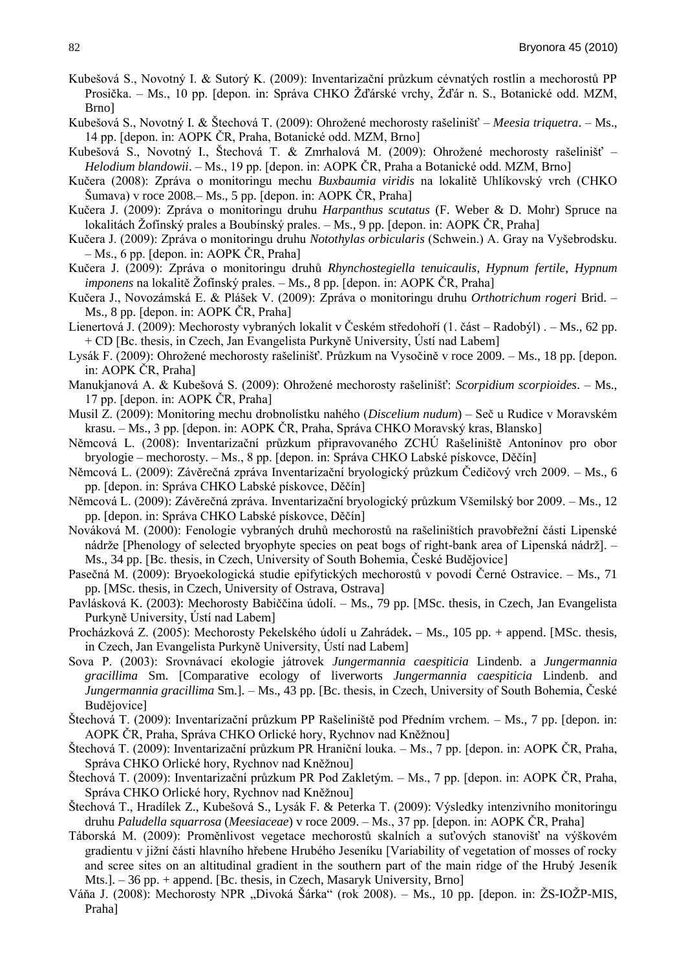- Kubešová S., Novotný I. & Sutorý K. (2009): Inventarizační průzkum cévnatých rostlin a mechorostů PP Prosička. – Ms., 10 pp. [depon. in: Správa CHKO Žďárské vrchy, Žďár n. S., Botanické odd. MZM, Brno]
- Kubešová S., Novotný I. & Štechová T. (2009): Ohrožené mechorosty rašelinišť Meesia triquetra. Ms., 14 pp. [depon. in: AOPK ČR, Praha, Botanické odd. MZM, Brno]
- Kubešová S., Novotný I., Štechová T. & Zmrhalová M. (2009): Ohrožené mechorosty rašelinišť *Helodium blandowii*. – Ms., 19 pp. [depon. in: AOPK ČR, Praha a Botanické odd. MZM, Brno]
- Kučera (2008): Zpráva o monitoringu mechu *Buxbaumia viridis* na lokalitě Uhlìkovský vrch (CHKO  $\text{Šumava}$ ) v roce 2008.– Ms., 5 pp. [depon. in: AOPK ČR, Praha]
- Kučera J. (2009): Zpráva o monitoringu druhu *Harpanthus scutatus* (F. Weber & D. Mohr) Spruce na lokalitách Žofínský prales a Boubínský prales. – Ms., 9 pp. [depon. in: AOPK ČR, Praha]
- Kučera J. (2009): Zpráva o monitoringu druhu *Notothylas orbicularis* (Schwein.) A. Gray na Vyńebrodsku. – Ms., 6 pp. [depon. in: AOPK ČR, Praha]
- Kučera J. (2009): Zpráva o monitoringu druhů *Rhynchostegiella tenuicaulis*, *Hypnum fertile*, *Hypnum imponens* na lokalitě Žofínský prales. – Ms., 8 pp. [depon. in: AOPK ČR, Praha]
- Kučera J., Novozámská E. & Pláńek V. (2009): Zpráva o monitoringu druhu *Orthotrichum rogeri* Brid. Ms., 8 pp. [depon. in: AOPK ČR, Praha]
- Lienertová J. (2009): Mechorosty vybraných lokalit v Českém středohořì (1. část Radobýl) . Ms., 62 pp. + CD [Bc. thesis, in Czech, Jan Evangelista Purkyně University, Ústì nad Labem]
- Lysák F. (2009): Ohrožené mechorosty rašelinišť. Průzkum na Vysočině v roce 2009. Ms., 18 pp. [depon. in: AOPK ČR, Praha]
- Manukjanová A. & Kubešová S. (2009): Ohrožené mechorosty rašelinišť: *Scorpidium scorpioides.* Ms., 17 pp. [depon. in: AOPK ČR, Praha]
- Musil Z. (2009): Monitoring mechu drobnolìstku nahého (*Discelium nudum*) Seč u Rudice v Moravském krasu. – Ms., 3 pp. [depon. in: AOPK ČR, Praha, Správa CHKO Moravský kras, Blansko]
- Němcová L. (2008): Inventarizační průzkum připravovaného ZCHÚ Rašeliniště Antonínov pro obor bryologie – mechorosty. – Ms., 8 pp. [depon. in: Správa CHKO Labské pìskovce, Děčìn]
- Němcová L. (2009): Závěrečná zpráva Inventarizačnì bryologický průzkum Čedičový vrch 2009. Ms., 6 pp. [depon. in: Správa CHKO Labské pìskovce, Děčìn]
- Němcová L. (2009): Závěrečná zpráva. Inventarizační bryologický průzkum Všemilský bor 2009. Ms., 12 pp. [depon. in: Správa CHKO Labské pìskovce, Děčìn]
- Nováková M. (2000): Fenologie vybraných druhů mechorostů na rašeliništích pravobřežní části Lipenské nádrže [Phenology of selected bryophyte species on peat bogs of right-bank area of Lipenská nádrž]. – Ms., 34 pp. [Bc. thesis, in Czech, University of South Bohemia, České Budějovice]
- Pasečná M. (2009): Bryoekologická studie epifytických mechorostů v povodì Černé Ostravice. Ms., 71 pp. [MSc. thesis, in Czech, University of Ostrava, Ostrava]
- Pavlásková K. (2003): Mechorosty Babiččina údolì. Ms., 79 pp. [MSc. thesis, in Czech, Jan Evangelista Purkyně University, Ústì nad Labem]
- Procházková Z. (2005): Mechorosty Pekelského údolì u Zahrádek**.**  Ms., 105 pp. + append. [MSc. thesis, in Czech, Jan Evangelista Purkyně University, Ústì nad Labem]
- Sova P. (2003): Srovnávacì ekologie játrovek *Jungermannia caespiticia* Lindenb. a *Jungermannia gracillima* Sm. [Comparative ecology of liverworts *Jungermannia caespiticia* Lindenb. and *Jungermannia gracillima* Sm.]. – Ms., 43 pp. [Bc. thesis, in Czech, University of South Bohemia, České Budějovice]
- Štechová T. (2009): Inventarizační průzkum PP Rašeliniště pod Předním vrchem. Ms., 7 pp. [depon. in: AOPK ČR, Praha, Správa CHKO Orlické hory, Rychnov nad Kněžnou]
- Štechová T. (2009): Inventarizační průzkum PR Hraniční louka. Ms., 7 pp. [depon. in: AOPK ČR, Praha, Správa CHKO Orlické hory, Rychnov nad Kněžnou]
- Štechová T. (2009): Inventarizační průzkum PR Pod Zakletým. Ms., 7 pp. [depon. in: AOPK ČR, Praha, Správa CHKO Orlické hory, Rychnov nad Kněžnou]
- Štechová T., Hradílek Z., Kubešová S., Lysák F. & Peterka T. (2009): Výsledky intenzivního monitoringu druhu *Paludella squarrosa* (*Meesiaceae*) v roce 2009. – Ms., 37 pp. [depon. in: AOPK ČR, Praha]
- Táborská M. (2009): Proměnlivost vegetace mechorostů skalních a suťových stanovišť na výškovém gradientu v jižní části hlavního hřebene Hrubého Jeseníku [Variability of vegetation of mosses of rocky and scree sites on an altitudinal gradient in the southern part of the main ridge of the Hrubý Jesenìk Mts.]. – 36 pp. + append. [Bc. thesis, in Czech, Masaryk University, Brno]
- Váňa J. (2008): Mechorosty NPR "Divoká Šárka" (rok 2008). Ms., 10 pp. [depon. in: ŽS-IOŽP-MIS, Praha]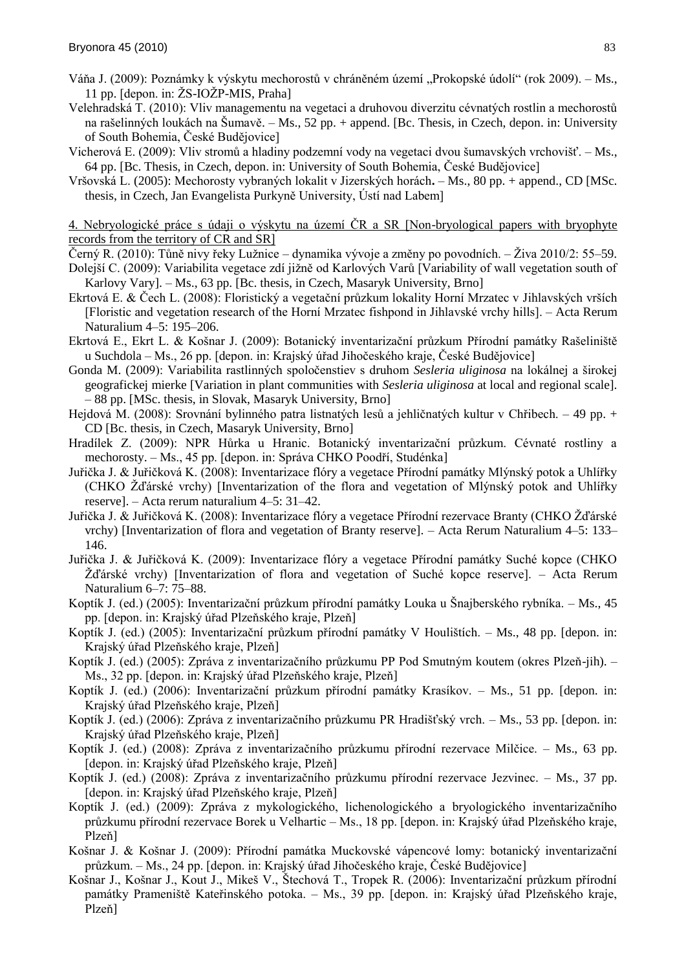- Váňa J. (2009): Poznámky k výskytu mechorostů v chráněném území "Prokopské údolí" (rok 2009). Ms., 11 pp. [depon. in:  $\angle ZS$ -IO $\angle ZP$ -MIS, Praha]
- Velehradská T. (2010): Vliv managementu na vegetaci a druhovou diverzitu cévnatých rostlin a mechorostů na rašelinných loukách na Šumavě. – Ms., 52 pp. + append. [Bc. Thesis, in Czech, depon. in: University of South Bohemia, České Budějovice]
- Vicherová E. (2009): Vliv stromů a hladiny podzemní vody na vegetaci dvou šumavských vrchovišť. Ms., 64 pp. [Bc. Thesis, in Czech, depon. in: University of South Bohemia, České Budějovice]
- Vrńovská L. (2005): Mechorosty vybraných lokalit v Jizerských horách**.**  Ms., 80 pp. + append., CD [MSc. thesis, in Czech, Jan Evangelista Purkyně University, Ústì nad Labem]

4. Nebryologické práce s údaji o výskytu na územì ČR a SR [Non-bryological papers with bryophyte records from the territory of CR and SR]

- Černý R. (2010): Tůně nivy řeky Lužnice dynamika vývoje a změny po povodních. Živa 2010/2: 55–59.
- Dolejší C. (2009): Variabilita vegetace zdí jižně od Karlových Varů [Variability of wall vegetation south of Karlovy Vary]. – Ms., 63 pp. [Bc. thesis, in Czech, Masaryk University, Brno]
- Ekrtová E. & Čech L. (2008): Floristický a vegetační průzkum lokality Horní Mrzatec v Jihlavských vrších [Floristic and vegetation research of the Hornì Mrzatec fishpond in Jihlavské vrchy hills]. – Acta Rerum Naturalium 4–5: 195–206.
- Ekrtová E., Ekrt L. & Košnar J. (2009): Botanický inventarizační průzkum Přírodní památky Rašeliniště u Suchdola – Ms., 26 pp. [depon. in: Krajský úřad Jihočeského kraje, České Budějovice]
- Gonda M. (2009): Variabilita rastlinných spoločenstiev s druhom *Sesleria uliginosa* na lokálnej a širokej geografickej mierke [Variation in plant communities with *Sesleria uliginosa* at local and regional scale]. – 88 pp. [MSc. thesis, in Slovak, Masaryk University, Brno]
- Hejdová M. (2008): Srovnánì bylinného patra listnatých lesů a jehličnatých kultur v Chřibech. 49 pp. + CD [Bc. thesis, in Czech, Masaryk University, Brno]
- Hradìlek Z. (2009): NPR Hůrka u Hranic. Botanický inventarizačnì průzkum. Cévnaté rostliny a mechorosty. – Ms., 45 pp. [depon. in: Správa CHKO Poodřì, Studénka]
- Juřička J. & Juřičková K. (2008): Inventarizace flóry a vegetace Přìrodnì památky Mlýnský potok a Uhlìřky (CHKO  $\rm Zd\text{'a}$ rské vrchy) [Inventarization of the flora and vegetation of Mlýnský potok and Uhlířky reserve]. – Acta rerum naturalium 4–5: 31–42.
- Juřička J. & Juřičková K. (2008): Inventarizace flóry a vegetace Přírodní rezervace Branty (CHKO Žďárské vrchy) [Inventarization of flora and vegetation of Branty reserve]. – Acta Rerum Naturalium 4–5: 133– 146.
- Juřička J. & Juřičková K. (2009): Inventarizace flóry a vegetace Přìrodnì památky Suché kopce (CHKO Ņďárské vrchy) [Inventarization of flora and vegetation of Suché kopce reserve]. – Acta Rerum Naturalium 6–7: 75–88.
- Koptík J. (ed.) (2005): Inventarizační průzkum přírodní památky Louka u Šnajberského rybníka. Ms., 45 pp. [depon. in: Krajský úřad Plzeňského kraje, Plzeň]
- Koptík J. (ed.) (2005): Inventarizační průzkum přírodní památky V Houlištích. Ms., 48 pp. [depon. in: Krajský úřad Plzeňského kraje, Plzeň]
- Koptìk J. (ed.) (2005): Zpráva z inventarizačnìho průzkumu PP Pod Smutným koutem (okres Plzeň-jih). Ms., 32 pp. [depon. in: Krajský úřad Plzeňského kraje, Plzeň]
- Koptìk J. (ed.) (2006): Inventarizačnì průzkum přìrodnì památky Krasìkov. Ms., 51 pp. [depon. in: Krajský úřad Plzeňského kraje, Plzeň]
- Koptík J. (ed.) (2006): Zpráva z inventarizačního průzkumu PR Hradišťský vrch. Ms., 53 pp. [depon. in: Krajský úřad Plzeňského kraje, Plzeň]
- Koptìk J. (ed.) (2008): Zpráva z inventarizačnìho průzkumu přìrodnì rezervace Milčice. Ms., 63 pp. [depon. in: Krajský úřad Plzeňského kraje, Plzeň]
- Koptìk J. (ed.) (2008): Zpráva z inventarizačnìho průzkumu přìrodnì rezervace Jezvinec. Ms., 37 pp. [depon. in: Krajský úřad Plzeňského kraje, Plzeň]
- Koptìk J. (ed.) (2009): Zpráva z mykologického, lichenologického a bryologického inventarizačnìho průzkumu přìrodnì rezervace Borek u Velhartic – Ms., 18 pp. [depon. in: Krajský úřad Plzeňského kraje, Plzeň]
- Košnar J. & Košnar J. (2009): Přírodní památka Muckovské vápencové lomy: botanický inventarizační průzkum. – Ms., 24 pp. [depon. in: Krajský úřad Jihočeského kraje, České Budějovice]
- Košnar J., Košnar J., Kout J., Mikeš V., Štechová T., Tropek R. (2006): Inventarizační průzkum přírodní památky Prameniště Kateřinského potoka. – Ms., 39 pp. [depon. in: Krajský úřad Plzeňského kraje, Plzeň]